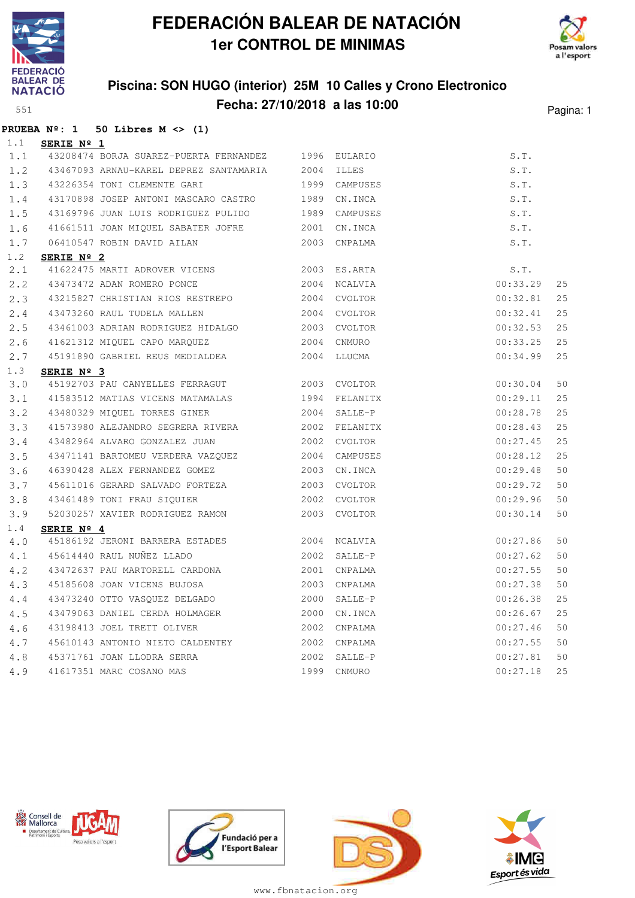

**PRUEBA Nº: 1 50 Libres M <> (1)**

# **FEDERACIÓN BALEAR DE NATACIÓN 1er CONTROL DE MINIMAS**



### **Piscina: SON HUGO (interior) 25M 10 Calles y Crono Electronico Fecha: 27/10/2018 a las 10:00** Pagina: 1

| 1.1         | SERIE Nº 1          |                                                        |      |               |          |    |
|-------------|---------------------|--------------------------------------------------------|------|---------------|----------|----|
| 1.1         |                     | 43208474 BORJA SUAREZ-PUERTA FERNANDEZ 1996            |      | EULARIO       | S.T.     |    |
| 1.2         |                     | 43467093 ARNAU-KAREL DEPREZ SANTAMARIA 2004            |      | <b>ILLES</b>  | S.T.     |    |
| 1.3         |                     | 43226354 TONI CLEMENTE GARI                            | 1999 | CAMPUSES      | S.T.     |    |
| 1.4         |                     | 43170898 JOSEP ANTONI MASCARO CASTRO 1989              |      | CN.INCA       | S.T.     |    |
| 1.5         |                     | 43169796 JUAN LUIS RODRIGUEZ PULIDO 1989               |      | CAMPUSES      | S.T.     |    |
| 1.6         |                     | 41661511 JOAN MIQUEL SABATER JOFRE 2001                |      | CN.INCA       | S.T.     |    |
| 1.7         |                     | 06410547 ROBIN DAVID AILAN                             | 2003 | CNPALMA       | S.T.     |    |
| 1.2         | SERIE Nº 2          |                                                        |      |               |          |    |
| 2.1         |                     | 41622475 MARTI ADROVER VICENS 2003 ES.ARTA             |      |               | S.T.     |    |
| $2 \cdot 2$ |                     | 43473472 ADAN ROMERO PONCE                             | 2004 | NCALVIA       | 00:33.29 | 25 |
| 2.3         |                     |                                                        |      | CVOLTOR       | 00:32.81 | 25 |
| 2.4         |                     | 43473260 RAUL TUDELA MALLEN<br>2004                    |      | CVOLTOR       | 00:32.41 | 25 |
| 2.5         |                     | 43461003 ADRIAN RODRIGUEZ HIDALGO 2003                 |      | CVOLTOR       | 00:32.53 | 25 |
| 2.6         |                     | 41621312 MIQUEL CAPO MARQUEZ 2004                      |      | CNMURO        | 00:33.25 | 25 |
| 2.7         |                     | 45191890 GABRIEL REUS MEDIALDEA                        | 2004 | LLUCMA        | 00:34.99 | 25 |
| 1.3         | SERIE $N^{\circ}$ 3 |                                                        |      |               |          |    |
| 3.0         |                     | 45192703 PAU CANYELLES FERRAGUT 2003 CVOLTOR           |      |               | 00:30.04 | 50 |
| 3.1         |                     | 41583512 MATIAS VICENS MATAMALAS                       |      | 1994 FELANITX | 00:29.11 | 25 |
| 3.2         |                     | 43480329 MIQUEL TORRES GINER                           | 2004 | SALLE-P       | 00:28.78 | 25 |
| 3.3         |                     | 41573980 ALEJANDRO SEGRERA RIVERA 2002 FELANITX        |      |               | 00:28.43 | 25 |
| 3.4         |                     | 43482964 ALVARO GONZALEZ JUAN                          |      | 2002 CVOLTOR  | 00:27.45 | 25 |
| 3.5         |                     | 43471141 BARTOMEU VERDERA VAZQUEZ 2004                 |      | CAMPUSES      | 00:28.12 | 25 |
| 3.6         |                     | 46390428 ALEX FERNANDEZ GOMEZ 2003                     |      | CN.INCA       | 00:29.48 | 50 |
| 3.7         |                     | 45611016 GERARD SALVADO FORTEZA 2003                   |      | CVOLTOR       | 00:29.72 | 50 |
| 3.8         |                     | 43461489 TONI FRAU SIQUIER                             | 2002 | CVOLTOR       | 00:29.96 | 50 |
| 3.9         |                     | 52030257 XAVIER RODRIGUEZ RAMON                        | 2003 | CVOLTOR       | 00:30.14 | 50 |
| 1.4         | SERIE Nº 4          |                                                        |      |               |          |    |
| 4.0         |                     | 45186192 JERONI BARRERA ESTADES                        |      | 2004 NCALVIA  | 00:27.86 | 50 |
| 4.1         |                     | 45614440 RAUL NUÑEZ LLADO                              | 2002 | SALLE-P       | 00:27.62 | 50 |
| 4.2         |                     | 43472637 PAU MARTORELL CARDONA                         | 2001 | CNPALMA       | 00:27.55 | 50 |
| 4.3         |                     | 45185608 JOAN VICENS BUJOSA                            | 2003 | CNPALMA       | 00:27.38 | 50 |
| 4.4         |                     | 43473240 OTTO VASQUEZ DELGADO                          | 2000 | SALLE-P       | 00:26.38 | 25 |
| 4.5         |                     | 43479063 DANIEL CERDA HOLMAGER                         | 2000 | CN.INCA       | 00:26.67 | 25 |
| 4.6         |                     | 43198413 JOEL TRETT OLIVER                             | 2002 | CNPALMA       | 00:27.46 | 50 |
| 4.7         |                     | 45610143 ANTONIO NIETO CALDENTEY                       | 2002 | CNPALMA       | 00:27.55 | 50 |
| 4.8         |                     | 45371761 JOAN LLODRA SERRA<br>41617351 MARC COSANO MAS | 2002 | SALLE-P       | 00:27.81 | 50 |
| 4.9         |                     |                                                        | 1999 | CNMURO        | 00:27.18 | 25 |







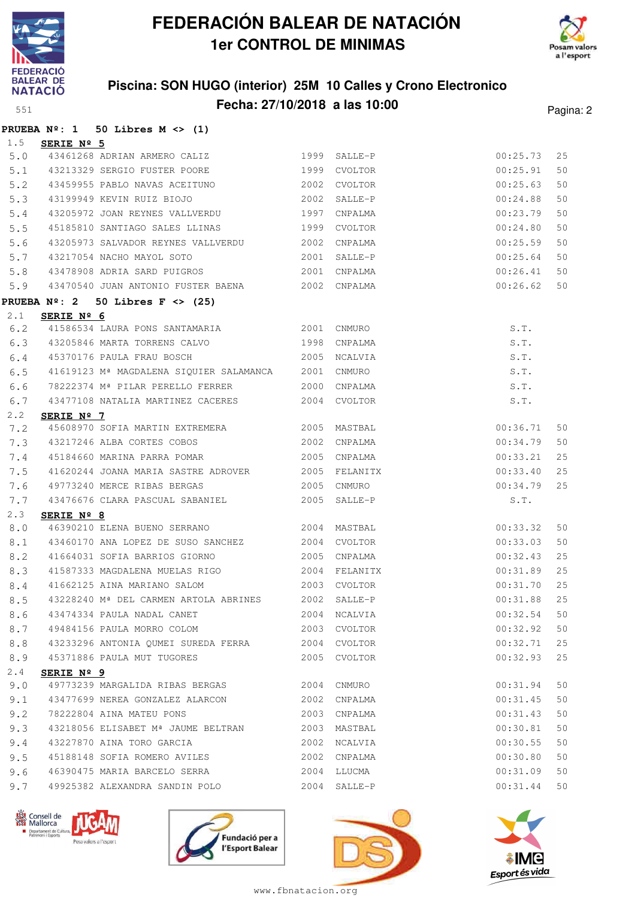

 $P$ **RUEBA** 1.5 **SERIE Nº 5**

 $PRUEBA$  $2.1$ 

# **FEDERACIÓN BALEAR DE NATACIÓN 1er CONTROL DE MINIMAS**



# **Piscina: SON HUGO (interior) 25M 10 Calles y Crono Electronico**

| 551         |                                                                                                  | Fecha: 27/10/2018 a las 10:00                     |      |              |          | Pagina: 2 |
|-------------|--------------------------------------------------------------------------------------------------|---------------------------------------------------|------|--------------|----------|-----------|
|             |                                                                                                  | PRUEBA $N^2$ : 1 50 Libres M <> (1)               |      |              |          |           |
| 1.5         | SERIE Nº 5                                                                                       |                                                   |      |              |          |           |
| 5.0         |                                                                                                  | 1999<br>43461268 ADRIAN ARMERO CALIZ              |      | SALLE-P      | 00:25.73 | 25        |
| 5.1         |                                                                                                  | 43213329 SERGIO FUSTER POORE                      | 1999 | CVOLTOR      | 00:25.91 | 50        |
| 5.2         |                                                                                                  | 43459955 PABLO NAVAS ACEITUNO                     | 2002 | CVOLTOR      | 00:25.63 | 50        |
| 5.3         |                                                                                                  | 43199949 KEVIN RUIZ BIOJO                         | 2002 | SALLE-P      | 00:24.88 | 50        |
| 5.4         |                                                                                                  | 43205972 JOAN REYNES VALLVERDU                    | 1997 | CNPALMA      | 00:23.79 | 50        |
| 5.5         |                                                                                                  | 45185810 SANTIAGO SALES LLINAS                    | 1999 | CVOLTOR      | 00:24.80 | 50        |
| 5.6         |                                                                                                  | 43205973 SALVADOR REYNES VALLVERDU                | 2002 | CNPALMA      | 00:25.59 | 50        |
| 5.7         |                                                                                                  | 43217054 NACHO MAYOL SOTO                         | 2001 | SALLE-P      | 00:25.64 | 50        |
| 5.8         |                                                                                                  | 43478908 ADRIA SARD PUIGROS                       | 2001 | CNPALMA      | 00:26.41 | 50        |
| 5.9         |                                                                                                  | 43470540 JUAN ANTONIO FUSTER BAENA 2002 CNPALMA   |      |              | 00:26.62 | 50        |
|             | <b>PRUEBA Nº: 2</b>                                                                              | 50 Libres $F \leq (25)$                           |      |              |          |           |
| $2 \cdot 1$ | SERIE Nº 6                                                                                       | 41586534 LAURA PONS SANTAMARIA                    |      |              |          |           |
| 6.2         |                                                                                                  |                                                   |      | 2001 CNMURO  | S.T.     |           |
| 6.3         |                                                                                                  | 43205846 MARTA TORRENS CALVO                      | 1998 | CNPALMA      | S.T.     |           |
| 6.4         |                                                                                                  | 45370176 PAULA FRAU BOSCH                         | 2005 | NCALVIA      | S.T.     |           |
| 6.5         |                                                                                                  | 41619123 Mª MAGDALENA SIQUIER SALAMANCA           | 2001 | CNMURO       | S.T.     |           |
| 6.6         |                                                                                                  | 78222374 Mª PILAR PERELLO FERRER                  | 2000 | CNPALMA      | S.T.     |           |
| 6.7         |                                                                                                  | 43477108 NATALIA MARTINEZ CACERES                 |      | 2004 CVOLTOR | S.T.     |           |
| $2 \cdot 2$ | SERIE Nº 7                                                                                       |                                                   |      |              |          |           |
| 7.2         |                                                                                                  | 45608970 SOFIA MARTIN EXTREMERA                   | 2005 | MASTBAL      | 00:36.71 | 50        |
| 7.3         |                                                                                                  | 43217246 ALBA CORTES COBOS                        | 2002 | CNPALMA      | 00:34.79 | 50        |
| 7.4         |                                                                                                  | 45184660 MARINA PARRA POMAR                       | 2005 | CNPALMA      | 00:33.21 | 25        |
| 7.5         |                                                                                                  | 41620244 JOANA MARIA SASTRE ADROVER 2005          |      | FELANITX     | 00:33.40 | 25        |
| 7.6         |                                                                                                  | 49773240 MERCE RIBAS BERGAS                       | 2005 | CNMURO       | 00:34.79 | 25        |
| 7.7         |                                                                                                  | 43476676 CLARA PASCUAL SABANIEL                   | 2005 | SALLE-P      | S.T.     |           |
| 2.3         | SERIE $N^{\circ}$ 8                                                                              |                                                   |      |              |          |           |
| 8.0         |                                                                                                  | 46390210 ELENA BUENO SERRANO                      | 2004 | MASTBAL      | 00:33.32 | 50        |
| 8.1         |                                                                                                  | 43460170 ANA LOPEZ DE SUSO SANCHEZ                | 2004 | CVOLTOR      | 00:33.03 | 50        |
| 8.2         |                                                                                                  | 41664031 SOFIA BARRIOS GIORNO                     | 2005 | CNPALMA      | 00:32.43 | 25        |
| 8.3         |                                                                                                  | 41587333 MAGDALENA MUELAS RIGO                    | 2004 | FELANITX     | 00:31.89 | 25        |
| 8.4         |                                                                                                  | 41662125 AINA MARIANO SALOM                       | 2003 | CVOLTOR      | 00:31.70 | 25        |
| 8.5         |                                                                                                  | 43228240 M <sup>ª</sup> DEL CARMEN ARTOLA ABRINES | 2002 | SALLE-P      | 00:31.88 | 25        |
| 8.6         |                                                                                                  | 43474334 PAULA NADAL CANET                        | 2004 | NCALVIA      | 00:32.54 | 50        |
| 8.7         |                                                                                                  | 49484156 PAULA MORRO COLOM                        | 2003 | CVOLTOR      | 00:32.92 | 50        |
| 8.8         |                                                                                                  | 43233296 ANTONIA QUMEI SUREDA FERRA               | 2004 | CVOLTOR      | 00:32.71 | 25        |
| 8.9         |                                                                                                  | 45371886 PAULA MUT TUGORES                        | 2005 | CVOLTOR      | 00:32.93 | 25        |
| 2.4         | SERIE Nº 9                                                                                       |                                                   |      |              |          |           |
| 9.0         |                                                                                                  | 49773239 MARGALIDA RIBAS BERGAS                   | 2004 | CNMURO       | 00:31.94 | 50        |
| 9.1         |                                                                                                  | 43477699 NEREA GONZALEZ ALARCON                   | 2002 | CNPALMA      | 00:31.45 | 50        |
| 9.2         |                                                                                                  | 78222804 AINA MATEU PONS                          | 2003 | CNPALMA      | 00:31.43 | 50        |
| 9.3         |                                                                                                  | 43218056 ELISABET Mª JAUME BELTRAN                | 2003 | MASTBAL      | 00:30.81 | 50        |
| 9.4         |                                                                                                  | 43227870 AINA TORO GARCIA                         | 2002 | NCALVIA      | 00:30.55 | 50        |
| 9.5         |                                                                                                  | 45188148 SOFIA ROMERO AVILES                      | 2002 | CNPALMA      | 00:30.80 | 50        |
| 9.6         |                                                                                                  | 46390475 MARIA BARCELO SERRA                      | 2004 | LLUCMA       | 00:31.09 | 50        |
| 9.7         |                                                                                                  | 49925382 ALEXANDRA SANDIN POLO                    | 2004 | SALLE-P      | 00:31.44 | 50        |
|             | Consell de<br>Mallorca<br>Departament de Cultura<br>Patrimoni i Esports<br>Posa valors a l'esgor | Fundació per a                                    |      |              |          |           |



www.fbnatacion.org

l'Esport Balear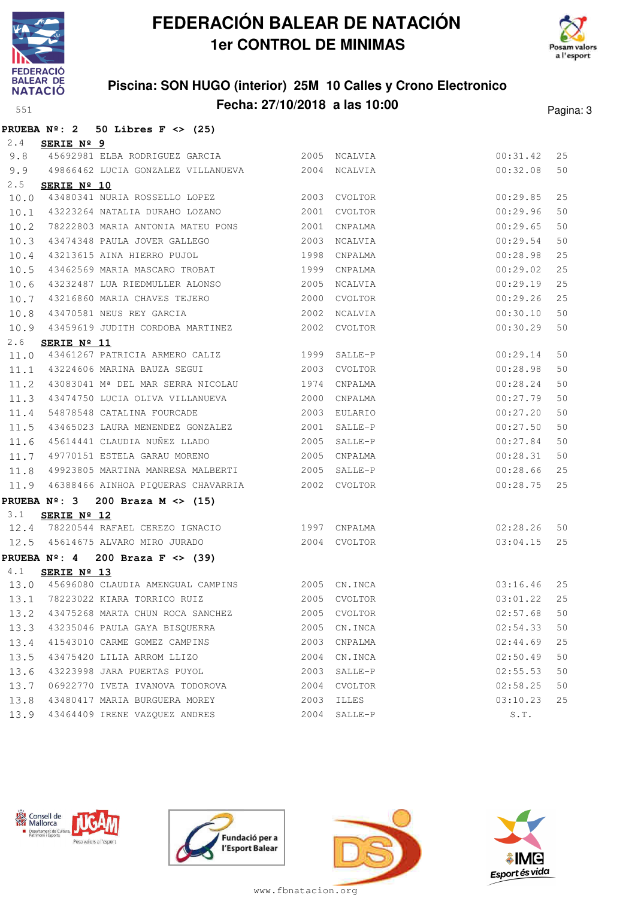



### **Piscina: SON HUGO (interior) 25M 10 Calles y Crono Electronico Fecha: 27/10/2018 a las 10:00** Pagina: 3

|      | PRUEBA $N^2$ : 2 50 Libres F <> (25)                 |      |               |          |    |
|------|------------------------------------------------------|------|---------------|----------|----|
| 2.4  | SERIE Nº 9                                           |      |               |          |    |
| 9.8  | 45692981 ELBA RODRIGUEZ GARCIA                       |      | 2005 NCALVIA  | 00:31.42 | 25 |
|      | 9.9 49866462 LUCIA GONZALEZ VILLANUEVA 2004 NCALVIA  |      |               | 00:32.08 | 50 |
| 2.5  | SERIE $N^{\circ}$ 10                                 |      |               |          |    |
| 10.0 | 43480341 NURIA ROSSELLO LOPEZ                        |      | 2003 CVOLTOR  | 00:29.85 | 25 |
| 10.1 | 43223264 NATALIA DURAHO LOZANO                       | 2001 | CVOLTOR       | 00:29.96 | 50 |
| 10.2 | 78222803 MARIA ANTONIA MATEU PONS                    | 2001 | CNPALMA       | 00:29.65 | 50 |
| 10.3 | 43474348 PAULA JOVER GALLEGO                         | 2003 | NCALVIA       | 00:29.54 | 50 |
| 10.4 | 43213615 AINA HIERRO PUJOL                           | 1998 | CNPALMA       | 00:28.98 | 25 |
| 10.5 | 43462569 MARIA MASCARO TROBAT                        | 1999 | CNPALMA       | 00:29.02 | 25 |
| 10.6 | 43232487 LUA RIEDMULLER ALONSO                       | 2005 | NCALVIA       | 00:29.19 | 25 |
| 10.7 | 43216860 MARIA CHAVES TEJERO                         | 2000 | CVOLTOR       | 00:29.26 | 25 |
| 10.8 | 43470581 NEUS REY GARCIA                             |      | 2002 NCALVIA  | 00:30.10 | 50 |
| 10.9 | 43459619 JUDITH CORDOBA MARTINEZ                     |      | 2002 CVOLTOR  | 00:30.29 | 50 |
| 2.6  | SERIE Nº 11                                          |      |               |          |    |
| 11.0 | 43461267 PATRICIA ARMERO CALIZ                       |      | 1999 SALLE-P  | 00:29.14 | 50 |
| 11.1 | 43224606 MARINA BAUZA SEGUI                          | 2003 | CVOLTOR       | 00:28.98 | 50 |
| 11.2 | 43083041 Mª DEL MAR SERRA NICOLAU                    |      | 1974 CNPALMA  | 00:28.24 | 50 |
| 11.3 | 43474750 LUCIA OLIVA VILLANUEVA                      | 2000 | CNPALMA       | 00:27.79 | 50 |
| 11.4 | 54878548 CATALINA FOURCADE                           |      | 2003 EULARIO  | 00:27.20 | 50 |
| 11.5 | 43465023 LAURA MENENDEZ GONZALEZ                     | 2001 | SALLE-P       | 00:27.50 | 50 |
| 11.6 | 45614441 CLAUDIA NUÑEZ LLADO                         | 2005 | SALLE-P       | 00:27.84 | 50 |
| 11.7 | 49770151 ESTELA GARAU MORENO                         | 2005 | CNPALMA       | 00:28.31 | 50 |
| 11.8 | 49923805 MARTINA MANRESA MALBERTI                    | 2005 | SALLE-P       | 00:28.66 | 25 |
| 11.9 | 46388466 AINHOA PIQUERAS CHAVARRIA                   |      | 2002 CVOLTOR  | 00:28.75 | 25 |
|      | PRUEBA $N^{\circ}$ : 3<br>200 Braza M $\langle$ (15) |      |               |          |    |
| 3.1  | SERIE Nº 12                                          |      |               |          |    |
|      | 12.4 78220544 RAFAEL CEREZO IGNACIO 1997 CNPALMA     |      |               | 02:28.26 | 50 |
|      | 12.5 45614675 ALVARO MIRO JURADO                     |      | 2004 CVOLTOR  | 03:04.15 | 25 |
|      | PRUEBA $N^{\circ}$ : 4 200 Braza F <> (39)           |      |               |          |    |
| 4.1  | SERIE Nº 13                                          |      |               |          |    |
|      | 13.0 45696080 CLAUDIA AMENGUAL CAMPINS 2005 CN.INCA  |      |               | 03:16.46 | 25 |
|      | 13.1 78223022 KIARA TORRICO RUIZ 2005 CVOLTOR        |      |               | 03:01.22 | 25 |
|      | 13.2 43475268 MARTA CHUN ROCA SANCHEZ                |      | 2005 CVOLTOR  | 02:57.68 | 50 |
|      | 13.3 43235046 PAULA GAYA BISQUERRA                   |      | 2005 CN.INCA  | 02:54.33 | 50 |
| 13.4 | 41543010 CARME GOMEZ CAMPINS                         |      | 2003 CNPALMA  | 02:44.69 | 25 |
| 13.5 | 43475420 LILIA ARROM LLIZO                           |      | 2004 CN. INCA | 02:50.49 | 50 |
| 13.6 | 43223998 JARA PUERTAS PUYOL                          |      | 2003 SALLE-P  | 02:55.53 | 50 |
| 13.7 | 06922770 IVETA IVANOVA TODOROVA                      |      | 2004 CVOLTOR  | 02:58.25 | 50 |
| 13.8 | 43480417 MARIA BURGUERA MOREY                        |      | 2003 ILLES    | 03:10.23 | 25 |
|      | 13.9 43464409 IRENE VAZQUEZ ANDRES                   |      | 2004 SALLE-P  | S.T.     |    |







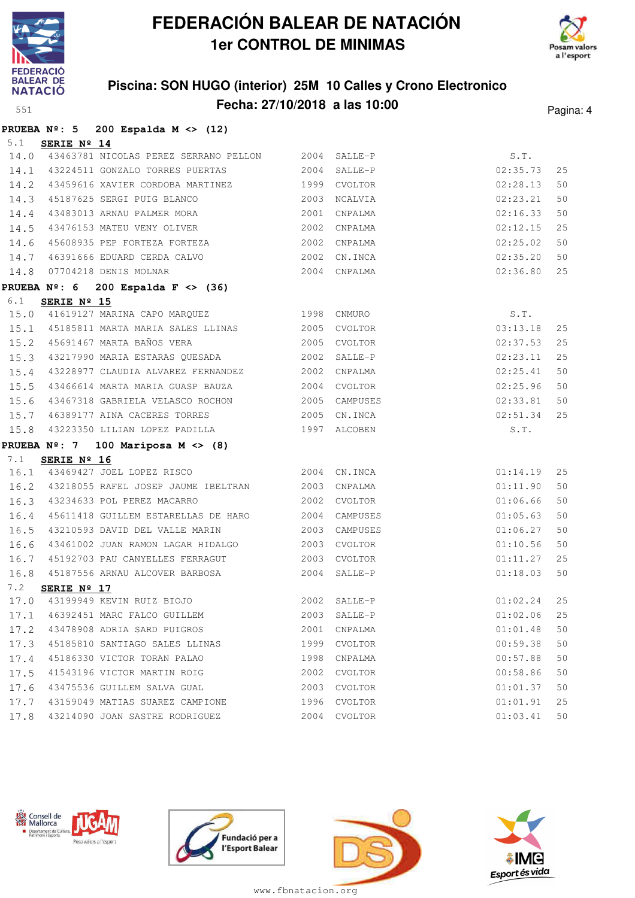



### **Piscina: SON HUGO (interior) 25M 10 Calles y Crono Electronico Fecha: 27/10/2018 a las 10:00** Pagina: 4

|      |             | PRUEBA $N^{\circ}$ : 5 200 Espalda M <> (12)            |      |              |             |    |
|------|-------------|---------------------------------------------------------|------|--------------|-------------|----|
| 5.1  | SERIE Nº 14 |                                                         |      |              |             |    |
|      |             | 14.0 43463781 NICOLAS PEREZ SERRANO PELLON 2004 SALLE-P |      |              | S.T.        |    |
|      |             | 14.1 43224511 GONZALO TORRES PUERTAS 2004 SALLE-P       |      |              | 02:35.73    | 25 |
|      |             | 14.2 43459616 XAVIER CORDOBA MARTINEZ 1999              |      | CVOLTOR      | 02:28.13    | 50 |
|      |             | 14.3 45187625 SERGI PUIG BLANCO 2003                    |      | NCALVIA      | 02:23.21    | 50 |
| 14.4 |             | 43483013 ARNAU PALMER MORA 2001                         |      | CNPALMA      | 02:16.33    | 50 |
| 14.5 |             | 43476153 MATEU VENY OLIVER 2002                         |      | CNPALMA      | 02:12.15    | 25 |
| 14.6 |             | 45608935 PEP FORTEZA FORTEZA 2002                       |      | CNPALMA      | 02:25.02    | 50 |
| 14.7 |             | 46391666 EDUARD CERDA CALVO 2002                        |      | CN.INCA      | 02:35.20    | 50 |
|      |             | 14.8 07704218 DENIS MOLNAR 2004 CNPALMA                 |      |              | 02:36.80    | 25 |
|      |             | PRUEBA $N^{\circ}$ : 6 200 Espalda F <> (36)            |      |              |             |    |
| 6.1  | SERIE Nº 15 |                                                         |      |              |             |    |
|      |             | 15.0 41619127 MARINA CAPO MARQUEZ 1998 CNMURO           |      |              | S.T.        |    |
|      |             | 15.1 45185811 MARTA MARIA SALES LLINAS 2005             |      | CVOLTOR      | 03:13.18    | 25 |
|      |             | 15.2 45691467 MARTA BAÑOS VERA 2005 CVOLTOR             |      |              | 02:37.53    | 25 |
|      |             | 15.3 43217990 MARIA ESTARAS QUESADA 2002                |      | SALLE-P      | 02:23.11    | 25 |
|      |             | 15.4 43228977 CLAUDIA ALVAREZ FERNANDEZ 2002 CNPALMA    |      |              | 02:25.41    | 50 |
|      |             | 15.5 43466614 MARTA MARIA GUASP BAUZA 2004 CVOLTOR      |      |              | 02:25.96    | 50 |
| 15.6 |             | 43467318 GABRIELA VELASCO ROCHON 2005 CAMPUSES          |      |              | 02:33.81    | 50 |
| 15.7 |             | 46389177 AINA CACERES TORRES 2005                       |      | CN.INCA      | 02:51.34    | 25 |
| 15.8 |             | 43223350 LILIAN LOPEZ PADILLA (1997)                    |      | ALCOBEN      | S.T.        |    |
|      |             | PRUEBA $N^{\circ}$ : 7 100 Mariposa M <> (8)            |      |              |             |    |
| 7.1  | SERIE Nº 16 |                                                         |      |              |             |    |
| 16.1 |             | 43469427 JOEL LOPEZ RISCO 2004 CN.INCA                  |      |              | 01:14.19    | 25 |
|      |             | 16.2 43218055 RAFEL JOSEP JAUME IBELTRAN 2003           |      | CNPALMA      | 01:11.90    | 50 |
|      |             | 16.3 43234633 POL PEREZ MACARRO 2002 CVOLTOR            |      |              | 01:06.66    | 50 |
|      |             | 16.4 45611418 GUILLEM ESTARELLAS DE HARO 2004 CAMPUSES  |      |              | 01:05.63    | 50 |
| 16.5 |             |                                                         |      |              | 01:06.27    | 50 |
| 16.6 |             | 43461002 JUAN RAMON LAGAR HIDALGO 2003                  |      | CVOLTOR      | 01:10.56    | 50 |
| 16.7 |             | 45192703 PAU CANYELLES FERRAGUT 2003                    |      | CVOLTOR      | 01:11.27    | 25 |
|      |             | 16.8 45187556 ARNAU ALCOVER BARBOSA 2004 SALLE-P        |      |              | 01:18.03    | 50 |
| 7.2  | SERIE Nº 17 |                                                         |      |              |             |    |
| 17.0 |             | 43199949 KEVIN RUIZ BIOJO                               | 2002 | SALLE-P      | 01:02.24 25 |    |
| 17.1 |             | 46392451 MARC FALCO GUILLEM                             | 2003 | SALLE-P      | 01:02.06    | 25 |
| 17.2 |             | 43478908 ADRIA SARD PUIGROS                             | 2001 | CNPALMA      | 01:01.48    | 50 |
| 17.3 |             | 45185810 SANTIAGO SALES LLINAS                          | 1999 | CVOLTOR      | 00:59.38    | 50 |
| 17.4 |             | 45186330 VICTOR TORAN PALAO                             | 1998 | CNPALMA      | 00:57.88    | 50 |
| 17.5 |             | 41543196 VICTOR MARTIN ROIG                             | 2002 | CVOLTOR      | 00:58.86    | 50 |
| 17.6 |             | 43475536 GUILLEM SALVA GUAL                             | 2003 | CVOLTOR      | 01:01.37    | 50 |
| 17.7 |             | 43159049 MATIAS SUAREZ CAMPIONE                         | 1996 | CVOLTOR      | 01:01.91    | 25 |
| 17.8 |             | 43214090 JOAN SASTRE RODRIGUEZ                          |      | 2004 CVOLTOR | 01:03.41    | 50 |







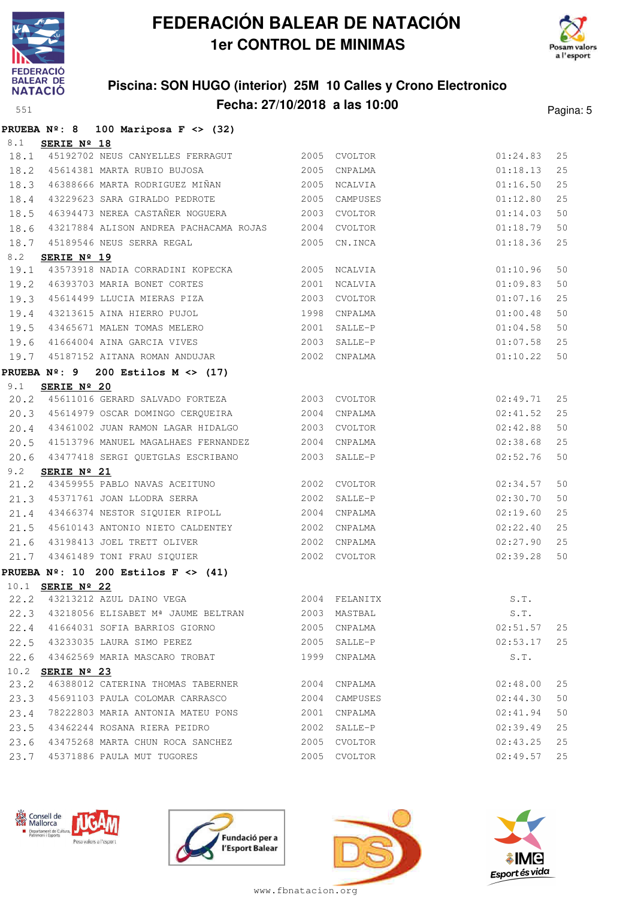



### **Piscina: SON HUGO (interior) 25M 10 Calles y Crono Electronico Fecha: 27/10/2018 a las 10:00** Pagina: 5

|  |  | PRUEBA $N^{\circ}$ : 8 100 Mariposa F <> (32) |  |  |
|--|--|-----------------------------------------------|--|--|
|  |  |                                               |  |  |

| 8.1  | SERIE Nº 18             |                                                                                                                           |      |               |                      |          |
|------|-------------------------|---------------------------------------------------------------------------------------------------------------------------|------|---------------|----------------------|----------|
| 18.1 |                         | 45192702 NEUS CANYELLES FERRAGUT 2005 CVOLTOR                                                                             |      |               | 01:24.83             | 25       |
| 18.2 |                         | 45614381 MARTA RUBIO BUJOSA 2005 CNPALMA                                                                                  |      |               | 01:18.13             | 25       |
| 18.3 |                         | 46388666 MARTA RODRIGUEZ MIÑAN                                                                                            |      | 2005 NCALVIA  | 01:16.50             | 25       |
| 18.4 |                         | 43229623 SARA GIRALDO PEDROTE 2005 CAMPUSES                                                                               |      |               | 01:12.80             | 25       |
| 18.5 |                         | 46394473 NEREA CASTAÑER NOGUERA                                                                                           |      | 2003 CVOLTOR  | 01:14.03             | 50       |
| 18.6 |                         | 43217884 ALISON ANDREA PACHACAMA ROJAS 2004 CVOLTOR                                                                       |      |               | 01:18.79             | 50       |
| 18.7 |                         | 45189546 NEUS SERRA REGAL                                                                                                 |      | 2005 CN. INCA | 01:18.36             | 25       |
| 8.2  | SERIE Nº 19             |                                                                                                                           |      |               |                      |          |
| 19.1 |                         | 43573918 NADIA CORRADINI KOPECKA 2005 NCALVIA                                                                             |      |               | 01:10.96             | 50       |
| 19.2 |                         | 46393703 MARIA BONET CORTES                                                                                               |      | 2001 NCALVIA  | 01:09.83             | 50       |
| 19.3 |                         | 45614499 LLUCIA MIERAS PIZA                                                                                               |      | 2003 CVOLTOR  | 01:07.16             | 25       |
| 19.4 |                         | 43213615 AINA HIERRO PUJOL                                                                                                | 1998 | CNPALMA       | 01:00.48             | 50       |
| 19.5 |                         | 43465671 MALEN TOMAS MELERO                                                                                               |      | 2001 SALLE-P  | 01:04.58             | 50       |
| 19.6 |                         | 41664004 AINA GARCIA VIVES                                                                                                |      | 2003 SALLE-P  | 01:07.58             | 25       |
|      |                         | 19.7 45187152 AITANA ROMAN ANDUJAR 2002 CNPALMA                                                                           |      |               | 01:10.22             | 50       |
|      |                         | PRUEBA $N^{\circ}$ : 9 200 Estilos M <> (17)                                                                              |      |               |                      |          |
| 9.1  | SERIE Nº 20             |                                                                                                                           |      |               |                      |          |
| 20.2 |                         | 45611016 GERARD SALVADO FORTEZA 2003 CVOLTOR                                                                              |      |               | 02:49.71             | 25       |
| 20.3 |                         |                                                                                                                           |      |               | 02:41.52             | 25       |
| 20.4 |                         | 43461002 JUAN RAMON LAGAR HIDALGO                 2003   CVOLTOR                                                          |      |               | 02:42.88             | 50       |
| 20.5 |                         | 41513796 MANUEL MAGALHAES FERNANDEZ 2004 CNPALMA                                                                          |      |               | 02:38.68             | 25       |
| 20.6 |                         |                                                                                                                           |      |               | 02:52.76             | 50       |
| 9.2  | SERIE Nº 21             | 43459955 PABLO NAVAS ACEITUNO 2002 CVOLTOR                                                                                |      |               |                      |          |
| 21.2 |                         |                                                                                                                           |      |               | 02:34.57             | 50       |
| 21.3 |                         | 43466374 NESTOR SIQUIER RIPOLL                                                                                            |      | 2004 CNPALMA  | 02:30.70             | 50       |
| 21.4 |                         |                                                                                                                           |      |               | 02:19.60             | 25       |
| 21.5 |                         |                                                                                                                           |      |               | 02:22.40             | 25<br>25 |
| 21.6 |                         | 43198413 JOEL TRETT OLIVER 2002 CNPALMA<br>21.7 43461489 TONI FRAU SIQUIER 2002 CVOLTOR                                   |      |               | 02:27.90<br>02:39.28 | 50       |
|      |                         |                                                                                                                           |      |               |                      |          |
|      |                         | PRUEBA $N^{\circ}$ : 10 200 Estilos F <> (41)                                                                             |      |               |                      |          |
|      | 10.1 SERIE Nº 22        | 22.2 43213212 AZUL DAINO VEGA 2004 FELANITX                                                                               |      |               | S.T.                 |          |
|      |                         | $22.2$ 43213212 AZUL DAINO VEGA $2004$ FELANITX $5.1$ .<br>$22.3$ 43218056 ELISABET Mª JAUME BELTRAN 2003 MASTBAL $5.1$ . |      |               |                      |          |
|      |                         | 22.4 41664031 SOFIA BARRIOS GIORNO                                                                                        |      | 2005 CNPALMA  | 02:51.57 25          |          |
|      |                         | 22.5 43233035 LAURA SIMO PEREZ                                                                                            |      | 2005 SALLE-P  | 02:53.17             | 25       |
|      |                         | 22.6 43462569 MARIA MASCARO TROBAT                                                                                        |      | 1999 CNPALMA  | S.T.                 |          |
|      | 10.2 <b>SERIE Nº 23</b> |                                                                                                                           |      |               |                      |          |
| 23.2 |                         | 46388012 CATERINA THOMAS TABERNER                                                                                         |      | 2004 CNPALMA  | 02:48.00             | 25       |
| 23.3 |                         | 45691103 PAULA COLOMAR CARRASCO                                                                                           |      | 2004 CAMPUSES | 02:44.30             | 50       |
| 23.4 |                         | 78222803 MARIA ANTONIA MATEU PONS                                                                                         |      | 2001 CNPALMA  | 02:41.94             | 50       |
| 23.5 |                         | 43462244 ROSANA RIERA PEIDRO                                                                                              |      | 2002 SALLE-P  | 02:39.49             | 25       |
| 23.6 |                         | 43475268 MARTA CHUN ROCA SANCHEZ                                                                                          |      | 2005 CVOLTOR  | 02:43.25             | 25       |
|      |                         | 23.7 45371886 PAULA MUT TUGORES                                                                                           |      | 2005 CVOLTOR  | 02:49.57             | 25       |
|      |                         |                                                                                                                           |      |               |                      |          |







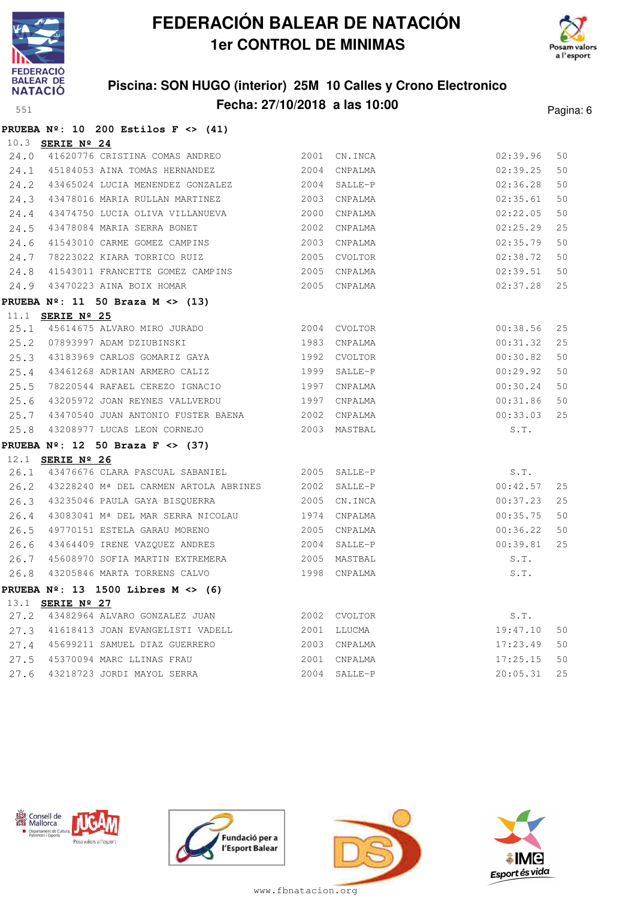



### **Piscina: SON HUGO (interior) 25M 10 Calles y Crono Electronico Fecha: 27/10/2018 a las 10:00** Pagina: 6

#### **PRUEBA Nº: 10 200 Estilos F <> (41)**

|      | 10.3 SERIE Nº 24        |                                                                   |              |               |          |    |
|------|-------------------------|-------------------------------------------------------------------|--------------|---------------|----------|----|
|      |                         | 24.0 41620776 CRISTINA COMAS ANDREO                               |              | 2001 CN. INCA | 02:39.96 | 50 |
|      |                         | 24.1 45184053 AINA TOMAS HERNANDEZ 2004                           |              | CNPALMA       | 02:39.25 | 50 |
|      |                         | 24.2 43465024 LUCIA MENENDEZ GONZALEZ 2004                        |              | SALLE-P       | 02:36.28 | 50 |
|      |                         | 24.3 43478016 MARIA RULLAN MARTINEZ 2003 CNPALMA                  |              |               | 02:35.61 | 50 |
| 24.4 |                         | 43474750 LUCIA OLIVA VILLANUEVA                                   | 2000         | CNPALMA       | 02:22.05 | 50 |
| 24.5 |                         | 43478084 MARIA SERRA BONET                                        | 2002 CNPALMA |               | 02:25.29 | 25 |
| 24.6 |                         | 41543010 CARME GOMEZ CAMPINS                                      |              | 2003 CNPALMA  | 02:35.79 | 50 |
| 24.7 |                         | 78223022 KIARA TORRICO RUIZ                                       |              | 2005 CVOLTOR  | 02:38.72 | 50 |
| 24.8 |                         | 41543011 FRANCETTE GOMEZ CAMPINS 2005 CNPALMA                     |              |               | 02:39.51 | 50 |
|      |                         | 24.9 43470223 AINA BOIX HOMAR                                     |              | 2005 CNPALMA  | 02:37.28 | 25 |
|      |                         | PRUEBA $N^{\circ}$ : 11 50 Braza M <> (13)                        |              |               |          |    |
|      | 11.1 <b>SERIE Nº 25</b> |                                                                   |              |               |          |    |
|      |                         | 25.1 45614675 ALVARO MIRO JURADO 2004 CVOLTOR                     |              |               | 00:38.56 | 25 |
|      |                         | 25.2 07893997 ADAM DZIUBINSKI 1983 CNPALMA                        |              |               | 00:31.32 | 25 |
|      |                         | 25.3 43183969 CARLOS GOMARIZ GAYA                                 |              | 1992 CVOLTOR  | 00:30.82 | 50 |
|      |                         | 25.4 43461268 ADRIAN ARMERO CALIZ                                 | 1999         | SALLE-P       | 00:29.92 | 50 |
| 25.5 |                         | 78220544 RAFAEL CEREZO IGNACIO 1997 CNPALMA                       |              |               | 00:30.24 | 50 |
| 25.6 |                         | 43205972 JOAN REYNES VALLVERDU 1997 CNPALMA                       |              |               | 00:31.86 | 50 |
|      |                         | 25.7 43470540 JUAN ANTONIO FUSTER BAENA 2002 CNPALMA              |              |               | 00:33.03 | 25 |
|      |                         |                                                                   |              |               | S.T.     |    |
|      |                         | PRUEBA $N^2$ : 12 50 Braza F <> (37)                              |              |               |          |    |
|      | 12.1 SERIE Nº 26        |                                                                   |              |               |          |    |
|      |                         | 26.1 43476676 CLARA PASCUAL SABANIEL 2005 SALLE-P                 |              |               | S.T.     |    |
|      |                         | 26.2 43228240 Mª DEL CARMEN ARTOLA ABRINES 2002                   |              | SALLE-P       | 00:42.57 | 25 |
|      |                         | 26.3 43235046 PAULA GAYA BISQUERRA 2005 CN.INCA                   |              |               | 00:37.23 | 25 |
|      |                         | 26.4 43083041 Mª DEL MAR SERRA NICOLAU 1974 CNPALMA               |              |               | 00:35.75 | 50 |
|      |                         | 26.5 49770151 ESTELA GARAU MORENO                                 | 2005 CNPALMA |               | 00:36.22 | 50 |
|      |                         | 26.6 43464409 IRENE VAZQUEZ ANDRES 2004                           |              | SALLE-P       | 00:39.81 | 25 |
|      |                         | 26.7 45608970 SOFIA MARTIN EXTREMERA 2005 MASTBAL                 |              |               | S.T.     |    |
| 26.8 |                         |                                                                   |              |               | S.T.     |    |
|      |                         | PRUEBA Nº: 13 1500 Libres M <> (6)                                |              |               |          |    |
|      | 13.1 <b>SERIE Nº 27</b> |                                                                   |              |               |          |    |
|      |                         | 27.2 43482964 ALVARO GONZALEZ JUAN                                | 2002 CVOLTOR |               | S.T.     |    |
|      |                         | 27.3 41618413 JOAN EVANGELISTI VADELL 2001 LLUCMA                 |              |               | 19:47.10 | 50 |
|      |                         | 27.4 45699211 SAMUEL DIAZ GUERRERO                                |              | 2003 CNPALMA  | 17:23.49 | 50 |
|      |                         | 27.5 45370094 MARC LLINAS FRAU<br>27.6 43218723 JORDI MAYOL SERRA |              | 2001 CNPALMA  | 17:25.15 | 50 |
|      |                         |                                                                   |              | 2004 SALLE-P  | 20:05.31 | 25 |







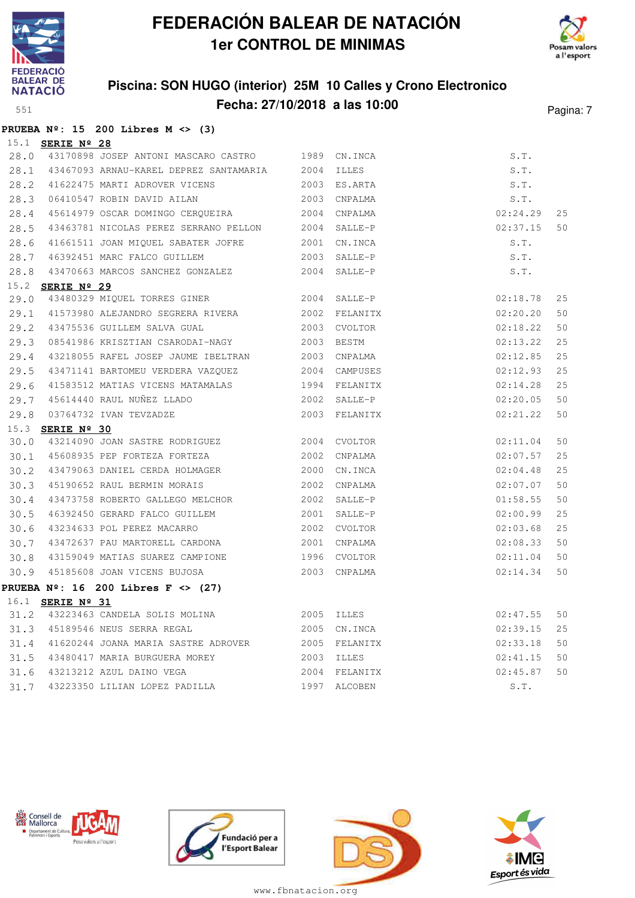



### **Piscina: SON HUGO (interior) 25M 10 Calles y Crono Electronico Fecha: 27/10/2018 a las 10:00** Pagina: 7

|      |                         | PRUEBA $N^{\circ}$ : 15 200 Libres M <> (3)               |            |                |          |    |
|------|-------------------------|-----------------------------------------------------------|------------|----------------|----------|----|
|      | 15.1 <b>SERIE Nº 28</b> |                                                           |            |                |          |    |
|      |                         | 28.0 43170898 JOSEP ANTONI MASCARO CASTRO 1989 CN.INCA    |            |                | S.T.     |    |
|      |                         | 28.1 43467093 ARNAU-KAREL DEPREZ SANTAMARIA 2004          |            | ILLES          | S.T.     |    |
| 28.2 |                         | 41622475 MARTI ADROVER VICENS                             |            | 2003 ES.ARTA   | S.T.     |    |
| 28.3 |                         | 06410547 ROBIN DAVID AILAN                                |            | 2003 CNPALMA   | S.T.     |    |
| 28.4 |                         | 45614979 OSCAR DOMINGO CERQUEIRA                          |            | 2004 CNPALMA   | 02:24.29 | 25 |
| 28.5 |                         | 43463781 NICOLAS PEREZ SERRANO PELLON                     |            | $2004$ SALLE-P | 02:37.15 | 50 |
| 28.6 |                         | 41661511 JOAN MIQUEL SABATER JOFRE                        |            | 2001 CN.INCA   | S.T.     |    |
| 28.7 |                         | 46392451 MARC FALCO GUILLEM                               |            | 2003 SALLE-P   | S.T.     |    |
| 28.8 |                         | 43470663 MARCOS SANCHEZ GONZALEZ                          |            | 2004 SALLE-P   | S.T.     |    |
|      | 15.2 SERIE Nº 29        |                                                           |            |                |          |    |
| 29.0 |                         | 43480329 MIQUEL TORRES GINER                              |            | 2004 SALLE-P   | 02:18.78 | 25 |
| 29.1 |                         | 41573980 ALEJANDRO SEGRERA RIVERA 2002 FELANITX           |            |                | 02:20.20 | 50 |
| 29.2 |                         | 43475536 GUILLEM SALVA GUAL                               | 2003       | CVOLTOR        | 02:18.22 | 50 |
| 29.3 |                         | 08541986 KRISZTIAN CSARODAI-NAGY                          |            | 2003 BESTM     | 02:13.22 | 25 |
| 29.4 |                         | 43218055 RAFEL JOSEP JAUME IBELTRAN                       |            | 2003 CNPALMA   | 02:12.85 | 25 |
| 29.5 |                         |                                                           |            |                | 02:12.93 | 25 |
| 29.6 |                         | 41583512 MATIAS VICENS MATAMALAS 6 1994 FELANITX          |            |                | 02:14.28 | 25 |
| 29.7 |                         | 45614440 RAUL NUÑEZ LLADO                                 |            | 2002 SALLE-P   | 02:20.05 | 50 |
| 29.8 |                         | 03764732 IVAN TEVZADZE                                    |            | 2003 FELANITX  | 02:21.22 | 50 |
|      | 15.3 <b>SERIE Nº 30</b> |                                                           |            |                |          |    |
| 30.0 |                         | 43214090 JOAN SASTRE RODRIGUEZ                            |            | 2004 CVOLTOR   | 02:11.04 | 50 |
| 30.1 |                         | 45608935 PEP FORTEZA FORTEZA                              |            | 2002 CNPALMA   | 02:07.57 | 25 |
| 30.2 |                         | 43479063 DANIEL CERDA HOLMAGER                            |            | 2000 CN. INCA  | 02:04.48 | 25 |
| 30.3 |                         | 45190652 RAUL BERMIN MORAIS                               |            | 2002 CNPALMA   | 02:07.07 | 50 |
| 30.4 |                         | 43473758 ROBERTO GALLEGO MELCHOR                          |            | 2002 SALLE-P   | 01:58.55 | 50 |
| 30.5 |                         | 46392450 GERARD FALCO GUILLEM                             | 2001       | SALLE-P        | 02:00.99 | 25 |
| 30.6 |                         | 43234633 POL PEREZ MACARRO                                |            | 2002 CVOLTOR   | 02:03.68 | 25 |
| 30.7 |                         | 43472637 PAU MARTORELL CARDONA                            | 2001       | CNPALMA        | 02:08.33 | 50 |
| 30.8 |                         | 43159049 MATIAS SUAREZ CAMPIONE                           | 1996       | CVOLTOR        | 02:11.04 | 50 |
| 30.9 |                         | 45185608 JOAN VICENS BUJOSA                               |            | 2003 CNPALMA   | 02:14.34 | 50 |
|      |                         | PRUEBA Nº: 16 200 Libres F <> (27)                        |            |                |          |    |
|      | 16.1 <b>SERIE Nº 31</b> |                                                           |            |                |          |    |
|      |                         | 31.2 43223463 CANDELA SOLIS MOLINA                        | 2005 ILLES |                | 02:47.55 | 50 |
|      |                         | 31.3 45189546 NEUS SERRA REGAL                            |            | 2005 CN.INCA   | 02:39.15 | 25 |
|      |                         | 31.4 41620244 JOANA MARIA SASTRE ADROVER                  |            | 2005 FELANITX  | 02:33.18 | 50 |
| 31.5 |                         | 43480417 MARIA BURGUERA MOREY<br>43213212 AZUL DAINO VEGA |            | 2003 ILLES     | 02:41.15 | 50 |
| 31.6 |                         |                                                           |            | 2004 FELANITX  | 02:45.87 | 50 |

31.7 43223350 LILIAN LOPEZ PADILLA 1997 ALCOBEN S.T.







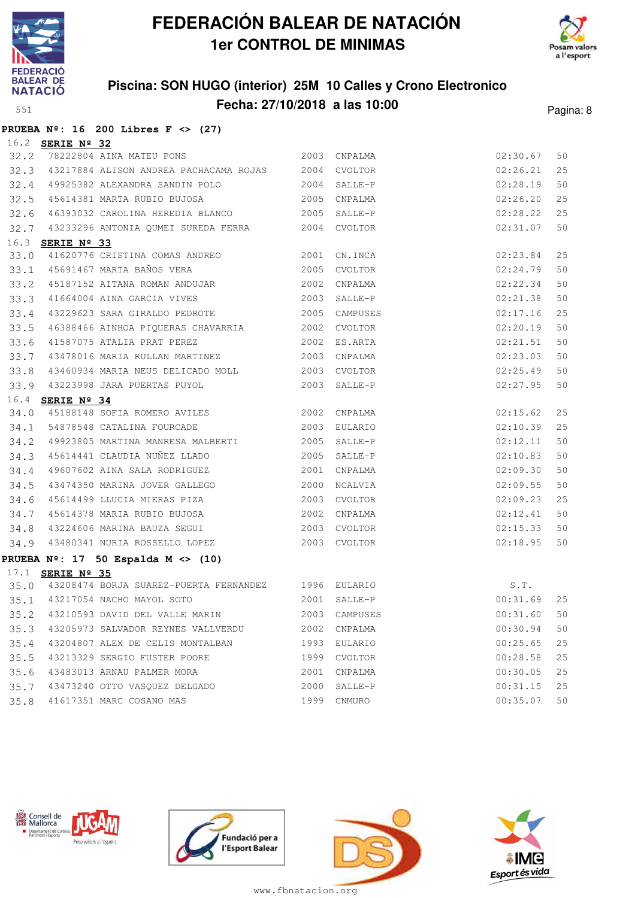



### **Piscina: SON HUGO (interior) 25M 10 Calles y Crono Electronico Fecha: 27/10/2018 a las 10:00** Pagina: 8

**PRUEBA Nº: 16 200 Libres F <> (27)**

|      | 16.2 SERIE Nº 32                                                                |      |              |             |        |
|------|---------------------------------------------------------------------------------|------|--------------|-------------|--------|
|      | 32.2 78222804 AINA MATEU PONS 2003 CNPALMA                                      |      |              | 02:30.67    | 50     |
|      | 32.3 43217884 ALISON ANDREA PACHACAMA ROJAS 2004 CVOLTOR                        |      |              | 02:26.21    | 25     |
|      | 32.4 49925382 ALEXANDRA SANDIN POLO 2004                                        |      | SALLE-P      | 02:28.19    | 50     |
|      | 32.5 45614381 MARTA RUBIO BUJOSA 2005                                           |      | CNPALMA      | 02:26.20    | 25     |
|      | 32.6 46393032 CAROLINA HEREDIA BLANCO 2005                                      |      | SALLE-P      | 02:28.22    | 25     |
|      | 32.7 43233296 ANTONIA QUMEI SUREDA FERRA 2004 CVOLTOR                           |      |              | 02:31.07    | 50     |
| 16.3 | SERIE $N^{\circ}$ 33                                                            |      |              |             |        |
| 33.0 | 41620776 CRISTINA COMAS ANDREO 2001                                             |      | CN.INCA      | 02:23.84    | 25     |
|      | 33.1 45691467 MARTA BAÑOS VERA 2005                                             |      | CVOLTOR      | 02:24.79    | 50     |
|      | 33.2 45187152 AITANA ROMAN ANDUJAR 2002<br>33.3 41664004 AINA GARCIA VIVES 2003 | 2002 | CNPALMA      | 02:22.34    | 50     |
|      |                                                                                 |      | SALLE-P      | 02:21.38    | 50     |
| 33.4 | 43229623 SARA GIRALDO PEDROTE 2005 CAMPUSES                                     |      |              | 02:17.16    | 25     |
|      | 33.5 46388466 AINHOA PIQUERAS CHAVARRIA 2002 CVOLTOR                            |      |              | 02:20.19    | 50     |
|      | 33.6 41587075 ATALIA PRAT PEREZ                                                 |      | 2002 ES.ARTA | 02:21.51    | 50     |
| 33.7 | 43478016 MARIA RULLAN MARTINEZ 2003                                             |      | CNPALMA      | 02:23.03    | 50     |
| 33.8 | 43460934 MARIA NEUS DELICADO MOLL 2003                                          |      | CVOLTOR      | 02:25.49    | 50     |
|      | 33.9 43223998 JARA PUERTAS PUYOL 2003                                           |      | SALLE-P      | 02:27.95    | 50     |
|      | 16.4 <b>SERIE Nº 34</b>                                                         |      |              |             |        |
|      | 34.0 45188148 SOFIA ROMERO AVILES 2002 CNPALMA                                  |      |              | 02:15.62    | 25     |
|      | 34.1 54878548 CATALINA FOURCADE 2003                                            |      | EULARIO      | 02:10.39    | 25     |
|      | 34.2 49923805 MARTINA MANRESA MALBERTI 2005 SALLE-P                             |      |              | 02:12.11    | 50     |
|      | 34.3 45614441 CLAUDIA NUÑEZ LLADO 2005 SALLE-P                                  |      |              | 02:10.83    | 50     |
| 34.4 | 49607602 AINA SALA RODRIGUEZ                                                    |      | 2001 CNPALMA | 02:09.30    | 50     |
| 34.5 | 43474350 MARINA JOVER GALLEGO 2000                                              |      | NCALVIA      | 02:09.55    | 50     |
| 34.6 | 45614499 LLUCIA MIERAS PIZA 2003                                                |      | CVOLTOR      | 02:09.23    | 25     |
| 34.7 | 45614378 MARIA RUBIO BUJOSA 2002                                                |      | CNPALMA      | 02:12.41    | 50     |
| 34.8 | 43224606 MARINA BAUZA SEGUI 2003 CVOLTOR                                        |      |              | 02:15.33    | 50     |
|      | 34.9 43480341 NURIA ROSSELLO LOPEZ 2003 CVOLTOR                                 |      |              | 02:18.95    | 50     |
|      | PRUEBA Nº: 17 50 Espalda M <> (10)                                              |      |              |             |        |
|      | 17.1 SERIE Nº 35                                                                |      |              |             |        |
|      | 35.0 43208474 BORJA SUAREZ-PUERTA FERNANDEZ 1996 EULARIO                        |      |              | S.T.        |        |
|      |                                                                                 |      |              |             |        |
|      |                                                                                 |      |              |             |        |
|      | 35.3 43205973 SALVADOR REYNES VALLVERDU 2002 CNPALMA                            |      |              | 00:30.94    | 50     |
| 35.4 | 43204807 ALEX DE CELIS MONTALBAN                                                |      | 1993 EULARIO | 00:25.65    | $2\,5$ |
| 35.5 | 43213329 SERGIO FUSTER POORE                                                    | 1999 | CVOLTOR      | 00:28.58    | 25     |
| 35.6 | 43483013 ARNAU PALMER MORA                                                      | 2001 | CNPALMA      | 00:30.05    | 25     |
|      | 35.7 43473240 OTTO VASQUEZ DELGADO                                              | 2000 | SALLE-P      | 00:31.15    | 25     |
|      | 35.8 41617351 MARC COSANO MAS                                                   |      | 1999 CNMURO  | 00:35.07 50 |        |







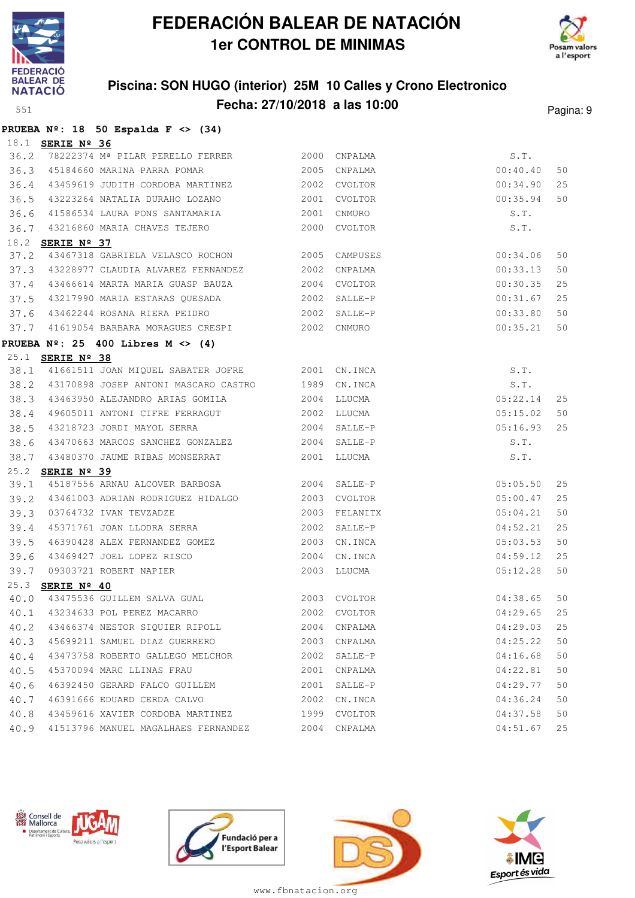



#### **Piscina: SON HUGO (interior) 25M 10 Calles y Crono Electronico Fecha: 27/10/2018 a las 10:00** Pagina: 9

|                  |  | PRUEBA $N^2$ : 18 50 Espalda F <> (34) |  |  |
|------------------|--|----------------------------------------|--|--|
| 18.1 SERIE Nº 36 |  |                                        |  |  |

| 36.2 |                         | 78222374 Mª PILAR PERELLO FERRER                                                | 2000        | CNPALMA      | S.T.     |    |
|------|-------------------------|---------------------------------------------------------------------------------|-------------|--------------|----------|----|
| 36.3 |                         | 45184660 MARINA PARRA POMAR                                                     |             | 2005 CNPALMA | 00:40.40 | 50 |
| 36.4 |                         | 43459619 JUDITH CORDOBA MARTINEZ 2002 CVOLTOR                                   |             |              | 00:34.90 | 25 |
| 36.5 |                         |                                                                                 |             |              | 00:35.94 | 50 |
| 36.6 |                         |                                                                                 |             |              | S.T.     |    |
| 36.7 |                         | 43216860 MARIA CHAVES TEJERO                                                    |             | 2000 CVOLTOR | S.T.     |    |
|      | 18.2 <b>SERIE Nº 37</b> |                                                                                 |             |              |          |    |
| 37.2 |                         | 43467318 GABRIELA VELASCO ROCHON 2005 CAMPUSES                                  |             |              | 00:34.06 | 50 |
|      |                         | 37.3 43228977 CLAUDIA ALVAREZ FERNANDEZ 2002                                    |             | CNPALMA      | 00:33.13 | 50 |
| 37.4 |                         |                                                                                 |             |              | 00:30.35 | 25 |
|      |                         | 37.5 43217990 MARIA ESTARAS QUESADA                                             |             | 2002 SALLE-P | 00:31.67 | 25 |
|      |                         | 37.6 43462244 ROSANA RIERA PEIDRO 2002                                          |             | SALLE-P      | 00:33.80 | 50 |
|      |                         | 37.7 41619054 BARBARA MORAGUES CRESPI 2002 CNMURO                               |             |              | 00:35.21 | 50 |
|      |                         | PRUEBA $N^2$ : 25 400 Libres M <> (4)                                           |             |              |          |    |
|      | 25.1 <b>SERIE Nº 38</b> |                                                                                 |             |              |          |    |
|      |                         | 38.1 41661511 JOAN MIQUEL SABATER JOFRE 2001 CN.INCA                            |             |              | S.T.     |    |
|      |                         | 38.2 43170898 JOSEP ANTONI MASCARO CASTRO 1989                                  |             | CN.INCA      | S.T.     |    |
| 38.3 |                         |                                                                                 |             |              | 05:22.14 | 25 |
| 38.4 |                         | 49605011 ANTONI CIFRE FERRAGUT                                                  | 2002 LLUCMA |              | 05:15.02 | 50 |
| 38.5 |                         | 43218723 JORDI MAYOL SERRA 2004                                                 |             | SALLE-P      | 05:16.93 | 25 |
| 38.6 |                         | 43470663 MARCOS SANCHEZ GONZALEZ 2004 SALLE-P                                   |             |              | S.T.     |    |
|      |                         | 38.7 43480370 JAUME RIBAS MONSERRAT                                             | 2001 LLUCMA |              | S.T.     |    |
|      | 25.2 <b>SERIE Nº 39</b> |                                                                                 |             |              |          |    |
| 39.1 |                         | 45187556 ARNAU ALCOVER BARBOSA 2004 SALLE-P                                     |             |              | 05:05.50 | 25 |
|      |                         | 39.2 43461003 ADRIAN RODRIGUEZ HIDALGO 2003 CVOLTOR                             |             |              | 05:00.47 | 25 |
| 39.3 |                         | 03764732 IVAN TEVZADZE                                                          | 2003        | FELANITX     | 05:04.21 | 50 |
| 39.4 |                         | 45371761 JOAN LLODRA SERRA 2002                                                 |             | SALLE-P      | 04:52.21 | 25 |
| 39.5 |                         | 46390428 ALEX FERNANDEZ GOMEZ                                                   | 2003        | CN.INCA      | 05:03.53 | 50 |
| 39.6 |                         |                                                                                 | 2004        | CN.INCA      | 04:59.12 | 25 |
| 39.7 |                         | 43469427 JOEL LOPEZ RISCO<br>09303721 ROBERT NAPIER<br><mark>3ERIE Nº 40</mark> |             | 2003 LLUCMA  | 05:12.28 | 50 |
|      | 25.3 SERIE Nº 40        | 40.0 43475536 GUILLEM SALVA GUAL 2003 CVOLTOR                                   |             |              |          |    |
|      |                         |                                                                                 |             |              | 04:38.65 | 50 |
|      |                         | 40.1 43234633 POL PEREZ MACARRO 2002 CVOLTOR                                    |             |              | 04:29.65 | 25 |
|      |                         | 40.2 43466374 NESTOR SIQUIER RIPOLL 2004 CNPALMA                                |             |              | 04:29.03 | 25 |
|      |                         | 40.3 45699211 SAMUEL DIAZ GUERRERO                                              |             | 2003 CNPALMA | 04:25.22 | 50 |
|      |                         | 40.4 43473758 ROBERTO GALLEGO MELCHOR  2002 SALLE-P                             |             |              | 04:16.68 | 50 |
|      |                         | 40.5 45370094 MARC LLINAS FRAU                                                  |             | 2001 CNPALMA | 04:22.81 | 50 |
| 40.6 |                         | 46392450 GERARD FALCO GUILLEM 2001 SALLE-P                                      |             |              | 04:29.77 | 50 |
| 40.7 |                         | 46391666 EDUARD CERDA CALVO                                                     |             | 2002 CN.INCA | 04:36.24 | 50 |
|      |                         | 40.8 43459616 XAVIER CORDOBA MARTINEZ                                           |             | 1999 CVOLTOR | 04:37.58 | 50 |
|      |                         | 40.9 41513796 MANUEL MAGALHAES FERNANDEZ 2004 CNPALMA                           |             |              | 04:51.67 | 25 |







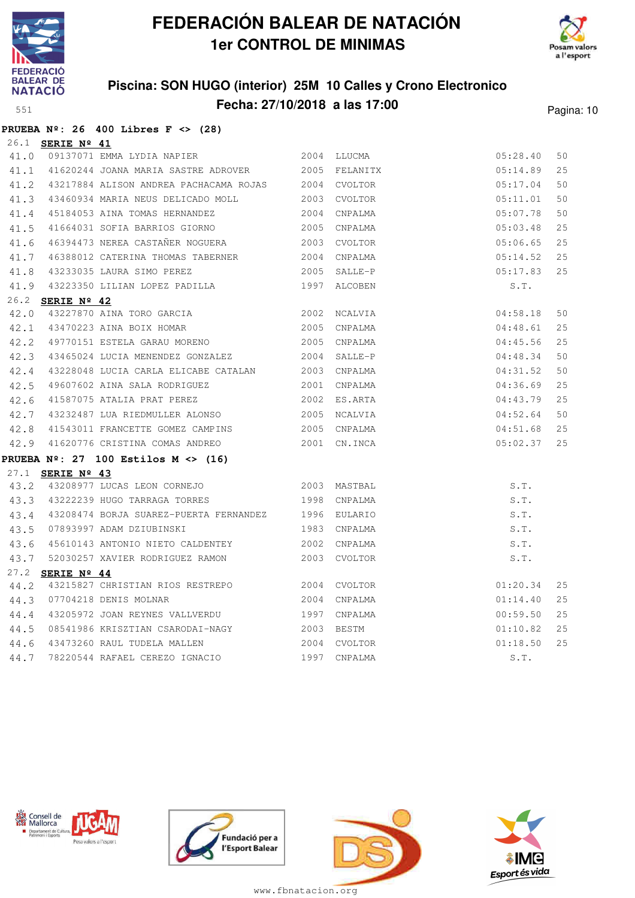

**PRUEBA Nº: 26 400 Libres F <> (28)**

# **FEDERACIÓN BALEAR DE NATACIÓN 1er CONTROL DE MINIMAS**



### **Piscina: SON HUGO (interior) 25M 10 Calles y Crono Electronico Fecha: 27/10/2018 a las 17:00** Pagina: 10

|      | 26.1 SERIE Nº 41 |                                                                                                        |            |              |          |    |
|------|------------------|--------------------------------------------------------------------------------------------------------|------------|--------------|----------|----|
|      |                  | 41.0 09137071 EMMA LYDIA NAPIER 2004 LLUCMA                                                            |            |              | 05:28.40 | 50 |
|      |                  | 41.1 41620244 JOANA MARIA SASTRE ADROVER 2005 FELANITX                                                 |            |              | 05:14.89 | 25 |
|      |                  | 41.2 43217884 ALISON ANDREA PACHACAMA ROJAS 2004 CVOLTOR                                               |            |              | 05:17.04 | 50 |
|      |                  | 41.3 43460934 MARIA NEUS DELICADO MOLL 2003 CVOLTOR                                                    |            |              | 05:11.01 | 50 |
|      |                  | 41.4 45184053 AINA TOMAS HERNANDEZ                                                                     | 2004       | CNPALMA      | 05:07.78 | 50 |
|      |                  | 41.5 41664031 SOFIA BARRIOS GIORNO                                                                     |            | 2005 CNPALMA | 05:03.48 | 25 |
|      |                  | 41.6 46394473 NEREA CASTAÑER NOGUERA 2003 CVOLTOR                                                      |            |              | 05:06.65 | 25 |
|      |                  | 41.7 46388012 CATERINA THOMAS TABERNER                                                                 |            | 2004 CNPALMA | 05:14.52 | 25 |
|      |                  | 41.8 43233035 LAURA SIMO PEREZ                                                                         |            | 2005 SALLE-P | 05:17.83 | 25 |
|      |                  | 41.9 43223350 LILIAN LOPEZ PADILLA 1997 ALCOBEN                                                        |            |              | S.T.     |    |
|      | 26.2 SERIE Nº 42 |                                                                                                        |            |              |          |    |
|      |                  | 42.0 43227870 AINA TORO GARCIA 61 1992 2002 NCALVIA<br>42.1 43470223 AINA BOIX HOMAR 1993 2005 CNPALMA |            |              | 04:58.18 | 50 |
| 42.1 |                  | 43470223 AINA BOIX HOMAR                                                                               |            | 2005 CNPALMA | 04:48.61 | 25 |
|      |                  | 42.2 49770151 ESTELA GARAU MORENO                                                                      | 2005       | CNPALMA      | 04:45.56 | 25 |
| 42.3 |                  | 43465024 LUCIA MENENDEZ GONZALEZ                                                                       |            | 2004 SALLE-P | 04:48.34 | 50 |
| 42.4 |                  | 43228048 LUCIA CARLA ELICABE CATALAN 2003 CNPALMA                                                      |            |              | 04:31.52 | 50 |
| 42.5 |                  | 49607602 AINA SALA RODRIGUEZ 2001                                                                      |            | CNPALMA      | 04:36.69 | 25 |
|      |                  | 42.6 41587075 ATALIA PRAT PEREZ 62002 ES.ARTA                                                          |            |              | 04:43.79 | 25 |
|      |                  | 42.7 43232487 LUA RIEDMULLER ALONSO 2005 NCALVIA                                                       |            |              | 04:52.64 | 50 |
|      |                  | 42.8 41543011 FRANCETTE GOMEZ CAMPINS 2005 CNPALMA                                                     |            |              | 04:51.68 | 25 |
|      |                  | 42.9 41620776 CRISTINA COMAS ANDREO 2001 CN.INCA                                                       |            |              | 05:02.37 | 25 |
|      |                  | PRUEBA Nº: 27 $100$ Estilos M <> (16)                                                                  |            |              |          |    |
|      | 27.1 SERIE Nº 43 |                                                                                                        |            |              |          |    |
|      |                  | 43.2 43208977 LUCAS LEON CORNEJO 2003 MASTBAL                                                          |            |              | S.T.     |    |
|      |                  | 43.3 43222239 HUGO TARRAGA TORRES                                                                      |            | 1998 CNPALMA | S.T.     |    |
|      |                  | 43.4 43208474 BORJA SUAREZ-PUERTA FERNANDEZ                                                            |            | 1996 EULARIO | S.T.     |    |
|      |                  | 43.5 07893997 ADAM DZIUBINSKI                                                                          |            | 1983 CNPALMA | S.T.     |    |
|      |                  | 43.6 45610143 ANTONIO NIETO CALDENTEY                                                                  |            | 2002 CNPALMA | S.T.     |    |
|      |                  | 43.7 52030257 XAVIER RODRIGUEZ RAMON                                                                   |            | 2003 CVOLTOR | S.T.     |    |
|      | 27.2 SERIE Nº 44 |                                                                                                        |            |              |          |    |
| 44.2 |                  | 43215827 CHRISTIAN RIOS RESTREPO 2004 CVOLTOR                                                          |            |              | 01:20.34 | 25 |
|      |                  | 44.3 07704218 DENIS MOLNAR                                                                             |            | 2004 CNPALMA | 01:14.40 | 25 |
|      |                  | 44.4 43205972 JOAN REYNES VALLVERDU                                                                    |            | 1997 CNPALMA | 00:59.50 | 25 |
|      |                  | 44.5 08541986 KRISZTIAN CSARODAI-NAGY                                                                  | 2003 BESTM |              | 01:10.82 | 25 |
|      |                  | 44.6 43473260 RAUL TUDELA MALLEN 2004 CVOLTOR                                                          |            |              | 01:18.50 | 25 |
| 44.7 |                  | 78220544 RAFAEL CEREZO IGNACIO                                                                         | 1997       | CNPALMA      | S.T.     |    |







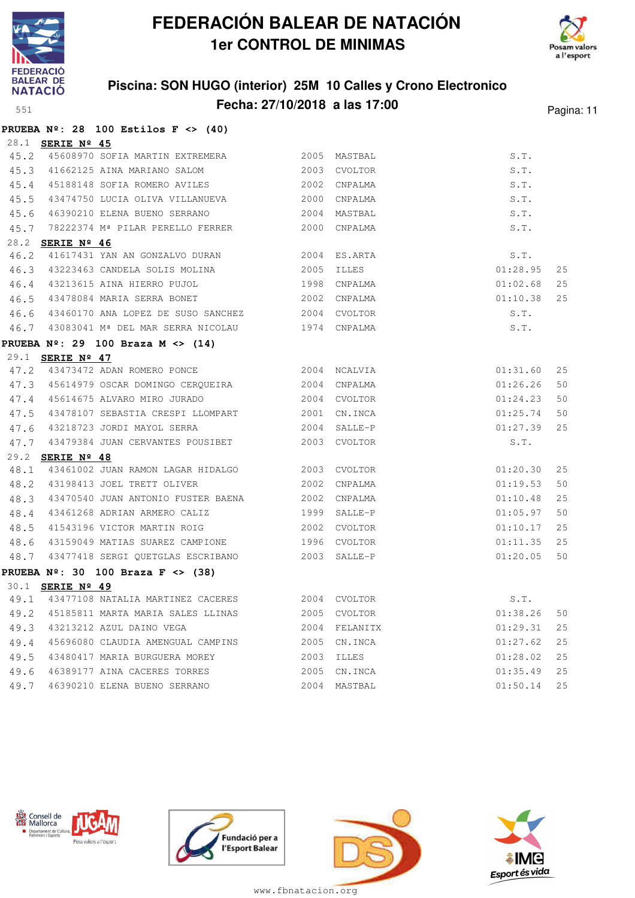



#### **Piscina: SON HUGO (interior) 25M 10 Calles y Crono Electronico Fecha: 27/10/2018 a las 17:00** Pagina: 11

|      |                         | PRUEBA $N^{\circ}$ : 28 100 Estilos F <> (40)        |      |              |          |    |
|------|-------------------------|------------------------------------------------------|------|--------------|----------|----|
|      | 28.1 <b>SERIE Nº 45</b> |                                                      |      |              |          |    |
|      |                         | 45.2 45608970 SOFIA MARTIN EXTREMERA 2005            |      | MASTBAL      | S.T.     |    |
|      |                         | 45.3 41662125 AINA MARIANO SALOM                     | 2003 | CVOLTOR      | S.T.     |    |
|      |                         | 45.4 45188148 SOFIA ROMERO AVILES                    | 2002 | CNPALMA      | S.T.     |    |
|      |                         | 45.5 43474750 LUCIA OLIVA VILLANUEVA                 | 2000 | CNPALMA      | S.T.     |    |
|      |                         | 45.6 46390210 ELENA BUENO SERRANO                    | 2004 | MASTBAL      | S.T.     |    |
|      |                         | 45.7 78222374 Mª PILAR PERELLO FERRER                | 2000 | CNPALMA      | S.T.     |    |
|      | 28.2 SERIE Nº 46        |                                                      |      |              |          |    |
| 46.2 |                         | 41617431 YAN AN GONZALVO DURAN 2004                  |      | ES.ARTA      | S.T.     |    |
|      |                         | 46.3 43223463 CANDELA SOLIS MOLINA 2005              |      | ILLES        | 01:28.95 | 25 |
| 46.4 |                         | 43213615 AINA HIERRO PUJOL                           | 1998 | CNPALMA      | 01:02.68 | 25 |
|      |                         | 46.5 43478084 MARIA SERRA BONET                      | 2002 | CNPALMA      | 01:10.38 | 25 |
|      |                         | 46.6 43460170 ANA LOPEZ DE SUSO SANCHEZ 2004 CVOLTOR |      |              | S.T.     |    |
|      |                         | 46.7 43083041 Mª DEL MAR SERRA NICOLAU 1974 CNPALMA  |      |              | S.T.     |    |
|      |                         | PRUEBA $N^2$ : 29 100 Braza M <> (14)                |      |              |          |    |
|      | 29.1 <b>SERIE Nº 47</b> |                                                      |      |              |          |    |
|      |                         | 47.2 43473472 ADAN ROMERO PONCE 2004                 |      | NCALVIA      | 01:31.60 | 25 |
|      |                         | 47.3 45614979 OSCAR DOMINGO CERQUEIRA 2004           |      | CNPALMA      | 01:26.26 | 50 |
|      |                         | 47.4 45614675 ALVARO MIRO JURADO                     |      | 2004 CVOLTOR | 01:24.23 | 50 |
| 47.5 |                         | 43478107 SEBASTIA CRESPI LLOMPART 2001               |      | CN.INCA      | 01:25.74 | 50 |
| 47.6 |                         | 43218723 JORDI MAYOL SERRA                           | 2004 | SALLE-P      | 01:27.39 | 25 |
| 47.7 |                         | 43479384 JUAN CERVANTES POUSIBET                     |      | 2003 CVOLTOR | S.T.     |    |
|      | 29.2 SERIE Nº 48        |                                                      |      |              |          |    |
| 48.1 |                         | 43461002 JUAN RAMON LAGAR HIDALGO 2003 CVOLTOR       |      |              | 01:20.30 | 25 |
|      |                         | 48.2 43198413 JOEL TRETT OLIVER                      | 2002 | CNPALMA      | 01:19.53 | 50 |
| 48.3 |                         | 43470540 JUAN ANTONIO FUSTER BAENA 2002              |      | CNPALMA      | 01:10.48 | 25 |
| 48.4 |                         | 43461268 ADRIAN ARMERO CALIZ 1999                    |      | SALLE-P      | 01:05.97 | 50 |
| 48.5 |                         | 41543196 VICTOR MARTIN ROIG                          |      | 2002 CVOLTOR | 01:10.17 | 25 |
| 48.6 |                         | 43159049 MATIAS SUAREZ CAMPIONE 1996 CVOLTOR         |      |              | 01:11.35 | 25 |
| 48.7 |                         | 43477418 SERGI QUETGLAS ESCRIBANO                    |      | 2003 SALLE-P | 01:20.05 | 50 |
|      |                         | PRUEBA $N^2$ : 30 100 Braza F <> (38)                |      |              |          |    |
|      | 30.1 <b>SERIE Nº 49</b> |                                                      |      |              |          |    |
| 49.1 |                         | 43477108 NATALIA MARTINEZ CACERES 2004 CVOLTOR       |      |              | S.T.     |    |
| 49.2 |                         | 45185811 MARTA MARIA SALES LLINAS                    | 2005 | CVOLTOR      | 01:38.26 | 50 |
| 49.3 |                         | 43213212 AZUL DAINO VEGA                             | 2004 | FELANITX     | 01:29.31 | 25 |
| 49.4 |                         | 45696080 CLAUDIA AMENGUAL CAMPINS                    | 2005 | CN.INCA      | 01:27.62 | 25 |
| 49.5 |                         | 43480417 MARIA BURGUERA MOREY                        | 2003 | ILLES        | 01:28.02 | 25 |
| 49.6 |                         | 46389177 AINA CACERES TORRES                         | 2005 | CN.INCA      | 01:35.49 | 25 |
| 49.7 |                         | 46390210 ELENA BUENO SERRANO                         | 2004 | MASTBAL      | 01:50.14 | 25 |







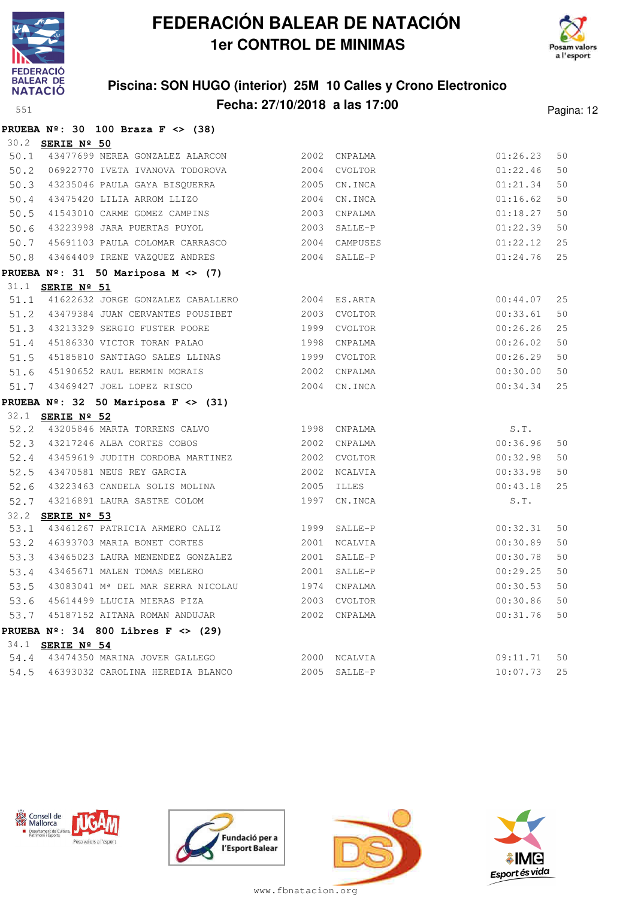

**PRUEBA Nº: 30 100 Braza F <> (38)**

# **FEDERACIÓN BALEAR DE NATACIÓN 1er CONTROL DE MINIMAS**



### **Piscina: SON HUGO (interior) 25M 10 Calles y Crono Electronico Fecha: 27/10/2018 a las 17:00** Pagina: 12

|      | 30.2 <b>SERIE Nº 50</b><br>50.1 43477699 NEREA GONZALEZ ALARCON                          | 2002 CNPALMA                                 | 01:26.23    | 50 |
|------|------------------------------------------------------------------------------------------|----------------------------------------------|-------------|----|
|      | 50.2 06922770 IVETA IVANOVA TODOROVA                                                     | 2004 CVOLTOR                                 | 01:22.46    | 50 |
|      | 50.3 43235046 PAULA GAYA BISQUERRA                                                       | 2001 CVOLION<br>2005 CN.INCA<br>2004 CN.INCA | 01:21.34    | 50 |
|      | 50.4 43475420 LILIA ARROM LLIZO                                                          |                                              | 01:16.62    | 50 |
| 50.5 | 41543010 CARME GOMEZ CAMPINS                                                             | 2003 CNPALMA                                 | 01:18.27    | 50 |
| 50.6 | 43223998 JARA PUERTAS PUYOL                                                              | 2003 SALLE-P                                 | 01:22.39    | 50 |
|      | 50.7 45691103 PAULA COLOMAR CARRASCO                                                     | 2004 CAMPUSES                                | 01:22.12    | 25 |
|      | 50.8 43464409 IRENE VAZQUEZ ANDRES                                                       | 2004 SALLE-P                                 | 01:24.76    | 25 |
|      | PRUEBA $N^{\circ}$ : 31 50 Mariposa M <> (7)                                             |                                              |             |    |
|      | 31.1 SERIE Nº 51                                                                         |                                              |             |    |
|      | 51.1 41622632 JORGE GONZALEZ CABALLERO 2004 ES.ARTA                                      |                                              | 00:44.07    | 25 |
|      | 51.2 43479384 JUAN CERVANTES POUSIBET                                                    | 2003 CVOLTOR                                 | 00:33.61    | 50 |
|      | 51.3 43213329 SERGIO FUSTER POORE                                                        | 1999 CVOLTOR                                 | 00:26.26    | 25 |
|      | 51.4 45186330 VICTOR TORAN PALAO                                                         | 1998 CNPALMA                                 | 00:26.02    | 50 |
|      | 51.5 45185810 SANTIAGO SALES LLINAS                                                      | 1999 CVOLTOR                                 | 00:26.29    | 50 |
|      | 51.6 45190652 RAUL BERMIN MORAIS                                                         | 2002 CNPALMA                                 | 00:30.00    | 50 |
|      | 51.7 43469427 JOEL LOPEZ RISCO                                                           | 2004 CN.INCA                                 | 00:34.34    | 25 |
|      | PRUEBA $N^{\circ}$ : 32 50 Mariposa F <> (31)                                            |                                              |             |    |
|      | 32.1 <b>SERIE Nº 52</b>                                                                  |                                              |             |    |
|      | 52.2 43205846 MARTA TORRENS CALVO 1998 CNPALMA                                           |                                              | S.T.        |    |
|      | 52.3 43217246 ALBA CORTES COBOS 2002 CNPALMA                                             |                                              | 00:36.96    | 50 |
|      | 52.4 43459619 JUDITH CORDOBA MARTINEZ 2002 CVOLTOR                                       |                                              | 00:32.98    | 50 |
|      | 52.5 43470581 NEUS REY GARCIA                                                            | 2002 NCALVIA                                 | 00:33.98    | 50 |
|      | 52.6 43223463 CANDELA SOLIS MOLINA                                                       | 2005 ILLES                                   | 00:43.18    | 25 |
|      | 52.7 43216891 LAURA SASTRE COLOM                                                         | 1997 CN.INCA                                 | S.T.        |    |
|      | 32.2 SERIE Nº 53                                                                         |                                              |             |    |
| 53.1 | 43461267 PATRICIA ARMERO CALIZ 1999 SALLE-P                                              |                                              | 00:32.31    | 50 |
|      | 53.2 46393703 MARIA BONET CORTES 2001 NCALVIA                                            |                                              | 00:30.89    | 50 |
|      | 53.3 43465023 LAURA MENENDEZ GONZALEZ 2001 SALLE-P                                       |                                              | 00:30.78    | 50 |
| 53.4 | 43465671 MALEN TOMAS MELERO 2001 SALLE-P                                                 |                                              | 00:29.25    | 50 |
| 53.5 | 43083041 Mª DEL MAR SERRA NICOLAU 1974 CNPALMA                                           |                                              | 00:30.53    | 50 |
|      | 53.6 45614499 LLUCIA MIERAS PIZA 2003 CVOLTOR                                            |                                              | 00:30.86    | 50 |
|      | 53.7 45187152 AITANA ROMAN ANDUJAR                                                       | 2002 CNPALMA                                 | 00:31.76    | 50 |
|      | PRUEBA $N^{\circ}$ : 34 800 Libres F <> (29)                                             |                                              |             |    |
|      | 34.1 <b>SERIE Nº 54</b>                                                                  |                                              | 09:11.71 50 |    |
|      | 54.4 43474350 MARINA JOVER GALLEGO 2000 NCALVIA<br>54.5 46393032 CAROLINA HEREDIA BLANCO | 2005 SALLE-P                                 | 10:07.73    | 25 |
|      |                                                                                          |                                              |             |    |







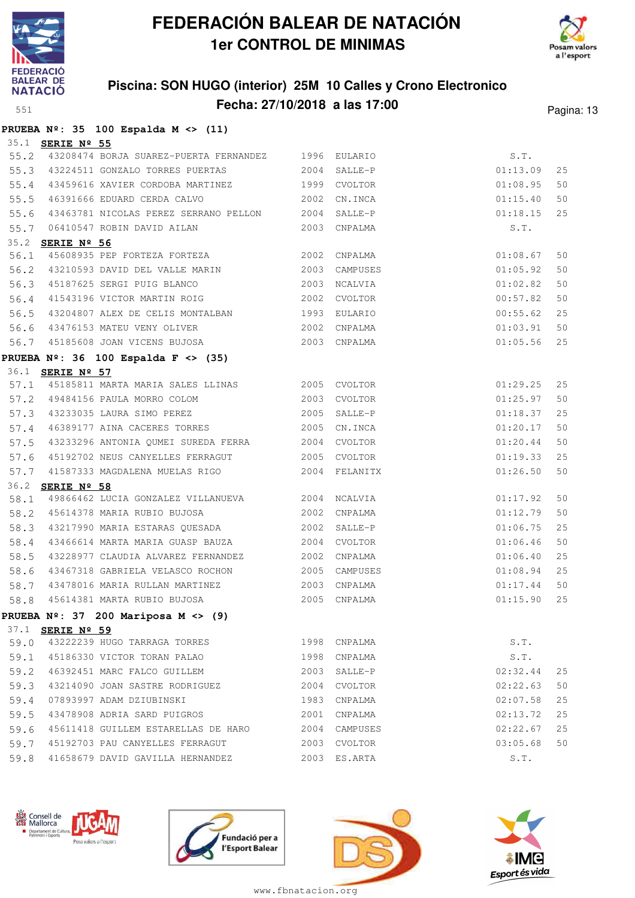

**PRUEBA Nº: 35 100 Espalda M <> (11)**

# **FEDERACIÓN BALEAR DE NATACIÓN 1er CONTROL DE MINIMAS**



### **Piscina: SON HUGO (interior) 25M 10 Calles y Crono Electronico Fecha: 27/10/2018 a las 17:00** Pagina: 13

|      | 35.1 SERIE Nº 55        |                                                |      |              |          |    |
|------|-------------------------|------------------------------------------------|------|--------------|----------|----|
| 55.2 |                         | 43208474 BORJA SUAREZ-PUERTA FERNANDEZ 1996    |      | EULARIO      | S.T.     |    |
| 55.3 |                         | 43224511 GONZALO TORRES PUERTAS                | 2004 | SALLE-P      | 01:13.09 | 25 |
| 55.4 |                         | 43459616 XAVIER CORDOBA MARTINEZ 1999          |      | CVOLTOR      | 01:08.95 | 50 |
| 55.5 |                         | 2002<br>46391666 EDUARD CERDA CALVO            |      | CN.INCA      | 01:15.40 | 50 |
| 55.6 |                         | 43463781 NICOLAS PEREZ SERRANO PELLON 2004     |      | SALLE-P      | 01:18.15 | 25 |
| 55.7 |                         | 06410547 ROBIN DAVID AILAN                     |      | 2003 CNPALMA | S.T.     |    |
| 35.2 | SERIE Nº 56             |                                                |      |              |          |    |
| 56.1 |                         | 45608935 PEP FORTEZA FORTEZA 2002              |      | CNPALMA      | 01:08.67 | 50 |
| 56.2 |                         | 43210593 DAVID DEL VALLE MARIN 2003            |      | CAMPUSES     | 01:05.92 | 50 |
| 56.3 |                         | 45187625 SERGI PUIG BLANCO                     | 2003 | NCALVIA      | 01:02.82 | 50 |
| 56.4 |                         | 41543196 VICTOR MARTIN ROIG 2002               |      | CVOLTOR      | 00:57.82 | 50 |
| 56.5 |                         | 43204807 ALEX DE CELIS MONTALBAN 1993          |      | EULARIO      | 00:55.62 | 25 |
| 56.6 |                         | 2002<br>43476153 MATEU VENY OLIVER             |      | CNPALMA      | 01:03.91 | 50 |
|      |                         | 56.7 45185608 JOAN VICENS BUJOSA               |      | 2003 CNPALMA | 01:05.56 | 25 |
|      |                         | PRUEBA $N^{\circ}$ : 36 100 Espalda F <> (35)  |      |              |          |    |
|      | 36.1 <b>SERIE Nº 57</b> |                                                |      |              |          |    |
| 57.1 |                         | 45185811 MARTA MARIA SALES LLINAS 2005 CVOLTOR |      |              | 01:29.25 | 25 |
|      |                         | 57.2 49484156 PAULA MORRO COLOM 2003           |      | CVOLTOR      | 01:25.97 | 50 |
| 57.3 |                         | 43233035 LAURA SIMO PEREZ                      | 2005 | SALLE-P      | 01:18.37 | 25 |
| 57.4 |                         | 46389177 AINA CACERES TORRES 2005              |      | CN.INCA      | 01:20.17 | 50 |
| 57.5 |                         | 43233296 ANTONIA QUMEI SUREDA FERRA 2004       |      | CVOLTOR      | 01:20.44 | 50 |
| 57.6 |                         | 45192702 NEUS CANYELLES FERRAGUT 2005 CVOLTOR  |      |              | 01:19.33 | 25 |
| 57.7 |                         |                                                |      |              | 01:26.50 | 50 |
| 36.2 | SERIE Nº 58             |                                                |      |              |          |    |
| 58.1 |                         | 49866462 LUCIA GONZALEZ VILLANUEVA 2004        |      | NCALVIA      | 01:17.92 | 50 |
| 58.2 |                         | 45614378 MARIA RUBIO BUJOSA 2002               |      | CNPALMA      | 01:12.79 | 50 |
| 58.3 |                         | 43217990 MARIA ESTARAS QUESADA                 | 2002 | SALLE-P      | 01:06.75 | 25 |
| 58.4 |                         | 43466614 MARTA MARIA GUASP BAUZA 2004          |      | CVOLTOR      | 01:06.46 | 50 |
| 58.5 |                         | 43228977 CLAUDIA ALVAREZ FERNANDEZ 2002        |      | CNPALMA      | 01:06.40 | 25 |
| 58.6 |                         | 43467318 GABRIELA VELASCO ROCHON 2005          |      | CAMPUSES     | 01:08.94 | 25 |
| 58.7 |                         | 43478016 MARIA RULLAN MARTINEZ                 | 2003 | CNPALMA      | 01:17.44 | 50 |
| 58.8 |                         | 45614381 MARTA RUBIO BUJOSA                    | 2005 | CNPALMA      | 01:15.90 | 25 |
|      |                         | PRUEBA $N^{\circ}$ : 37 200 Mariposa M <> (9)  |      |              |          |    |
|      | 37.1 <b>SERIE Nº 59</b> |                                                |      |              |          |    |
| 59.0 |                         | 43222239 HUGO TARRAGA TORRES                   |      | 1998 CNPALMA | S.T.     |    |
| 59.1 |                         | 45186330 VICTOR TORAN PALAO                    | 1998 | CNPALMA      | S.T.     |    |
| 59.2 |                         | 46392451 MARC FALCO GUILLEM                    | 2003 | SALLE-P      | 02:32.44 | 25 |
| 59.3 |                         | 43214090 JOAN SASTRE RODRIGUEZ                 | 2004 | CVOLTOR      | 02:22.63 | 50 |
| 59.4 |                         | 07893997 ADAM DZIUBINSKI                       | 1983 | CNPALMA      | 02:07.58 | 25 |
| 59.5 |                         | 43478908 ADRIA SARD PUIGROS                    | 2001 | CNPALMA      | 02:13.72 | 25 |
| 59.6 |                         | 45611418 GUILLEM ESTARELLAS DE HARO            | 2004 | CAMPUSES     | 02:22.67 | 25 |
| 59.7 |                         | 45192703 PAU CANYELLES FERRAGUT                | 2003 | CVOLTOR      | 03:05.68 | 50 |
| 59.8 |                         | 41658679 DAVID GAVILLA HERNANDEZ               |      | 2003 ES.ARTA | S.T.     |    |







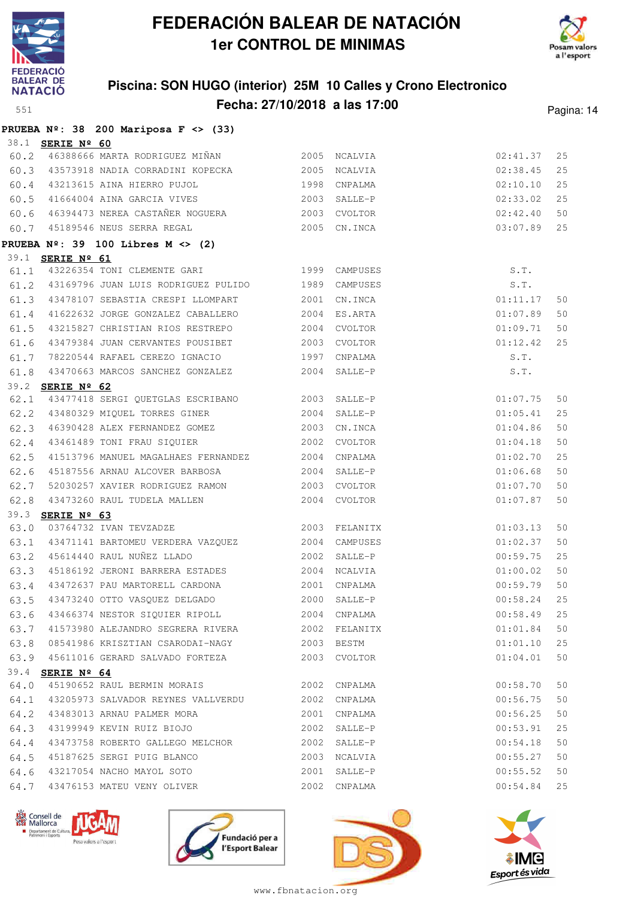



### **Piscina: SON HUGO (interior) 25M 10 Calles y Crono Electronico Fecha: 27/10/2018 a las 17:00** Pagina: 14

|      |                         | PRUEBA $N^{\circ}$ : 38 200 Mariposa F <> (33)                    |      |               |          |    |
|------|-------------------------|-------------------------------------------------------------------|------|---------------|----------|----|
|      | 38.1 <b>SERIE Nº 60</b> |                                                                   |      |               |          |    |
|      |                         | 60.2 46388666 MARTA RODRIGUEZ MIÑAN                               | 2005 | NCALVIA       | 02:41.37 | 25 |
|      |                         | 60.3 43573918 NADIA CORRADINI KOPECKA                             | 2005 | NCALVIA       | 02:38.45 | 25 |
| 60.4 |                         | 43213615 AINA HIERRO PUJOL<br>1998                                |      | CNPALMA       | 02:10.10 | 25 |
| 60.5 |                         | 41664004 AINA GARCIA VIVES                                        | 2003 | SALLE-P       | 02:33.02 | 25 |
| 60.6 |                         | 46394473 NEREA CASTAÑER NOGUERA                                   |      | 2003 CVOLTOR  | 02:42.40 | 50 |
|      |                         | 60.7 45189546 NEUS SERRA REGAL                                    | 2005 | CN.INCA       | 03:07.89 | 25 |
|      |                         | PRUEBA $N^{\circ}$ : 39 100 Libres M <> (2)                       |      |               |          |    |
|      | 39.1 <b>SERIE Nº 61</b> |                                                                   |      |               |          |    |
| 61.1 |                         | 43226354 TONI CLEMENTE GARI 1999 CAMPUSES                         |      |               | S.T.     |    |
| 61.2 |                         | 43169796 JUAN LUIS RODRIGUEZ PULIDO                               |      | 1989 CAMPUSES | S.T.     |    |
| 61.3 |                         | 43478107 SEBASTIA CRESPI LLOMPART                                 | 2001 | CN.INCA       | 01:11.17 | 50 |
| 61.4 |                         | 41622632 JORGE GONZALEZ CABALLERO                                 | 2004 | ES.ARTA       | 01:07.89 | 50 |
| 61.5 |                         | 43215827 CHRISTIAN RIOS RESTREPO                                  |      | 2004 CVOLTOR  | 01:09.71 | 50 |
| 61.6 |                         | 43479384 JUAN CERVANTES POUSIBET                                  |      | 2003 CVOLTOR  | 01:12.42 | 25 |
| 61.7 |                         | 78220544 RAFAEL CEREZO IGNACIO 1997                               |      | CNPALMA       | S.T.     |    |
| 61.8 |                         | 43470663 MARCOS SANCHEZ GONZALEZ                                  | 2004 | SALLE-P       | S.T.     |    |
|      | 39.2 SERIE Nº 62        |                                                                   |      |               |          |    |
| 62.1 |                         | 43477418 SERGI QUETGLAS ESCRIBANO 2003 SALLE-P                    |      |               | 01:07.75 | 50 |
| 62.2 |                         | 43480329 MIQUEL TORRES GINER                                      | 2004 | SALLE-P       | 01:05.41 | 25 |
| 62.3 |                         | 46390428 ALEX FERNANDEZ GOMEZ                                     | 2003 | CN.INCA       | 01:04.86 | 50 |
| 62.4 |                         | 43461489 TONI FRAU SIQUIER                                        | 2002 | CVOLTOR       | 01:04.18 | 50 |
| 62.5 |                         | 41513796 MANUEL MAGALHAES FERNANDEZ                               |      | 2004 CNPALMA  | 01:02.70 | 25 |
| 62.6 |                         | 45187556 ARNAU ALCOVER BARBOSA                                    |      | 2004 SALLE-P  | 01:06.68 | 50 |
| 62.7 |                         | 52030257 XAVIER RODRIGUEZ RAMON                                   | 2003 | CVOLTOR       | 01:07.70 | 50 |
| 62.8 |                         | 43473260 RAUL TUDELA MALLEN                                       |      | 2004 CVOLTOR  | 01:07.87 | 50 |
|      | 39.3 SERIE Nº 63        |                                                                   |      |               |          |    |
| 63.0 |                         | 03764732 IVAN TEVZADZE<br>43471141 BARTOMEU VERDERA VAZQUEZ 2004  |      | 2003 FELANITX | 01:03.13 | 50 |
| 63.1 |                         |                                                                   |      | CAMPUSES      | 01:02.37 | 50 |
| 63.2 |                         | 45614440 RAUL NUÑEZ LLADO                                         | 2002 | SALLE-P       | 00:59.75 | 25 |
| 63.3 |                         | 45186192 JERONI BARRERA ESTADES<br>43472637 PAU MARTORELL CARDONA | 2004 | NCALVIA       | 01:00.02 | 50 |
| 63.4 |                         |                                                                   |      | 2001 CNPALMA  | 00:59.79 | 50 |
| 63.5 |                         | 43473240 OTTO VASQUEZ DELGADO                                     |      | 2000 SALLE-P  | 00:58.24 | 25 |
| 63.6 |                         | 43466374 NESTOR SIQUIER RIPOLL                                    |      | 2004 CNPALMA  | 00:58.49 | 25 |
| 63.7 |                         | 41573980 ALEJANDRO SEGRERA RIVERA                                 | 2002 | FELANITX      | 01:01.84 | 50 |
| 63.8 |                         | 08541986 KRISZTIAN CSARODAI-NAGY                                  |      | 2003 BESTM    | 01:01.10 | 25 |
| 63.9 |                         | 45611016 GERARD SALVADO FORTEZA                                   |      | 2003 CVOLTOR  | 01:04.01 | 50 |
| 64.0 | 39.4 <b>SERIE Nº 64</b> | 45190652 RAUL BERMIN MORAIS                                       | 2002 | CNPALMA       | 00:58.70 | 50 |
| 64.1 |                         | 43205973 SALVADOR REYNES VALLVERDU                                | 2002 | CNPALMA       | 00:56.75 | 50 |
| 64.2 |                         | 43483013 ARNAU PALMER MORA                                        | 2001 | CNPALMA       | 00:56.25 | 50 |
| 64.3 |                         | 43199949 KEVIN RUIZ BIOJO                                         | 2002 | SALLE-P       | 00:53.91 | 25 |
| 64.4 |                         | 43473758 ROBERTO GALLEGO MELCHOR                                  | 2002 | SALLE-P       | 00:54.18 | 50 |
| 64.5 |                         | 45187625 SERGI PUIG BLANCO                                        | 2003 | NCALVIA       | 00:55.27 | 50 |
| 64.6 |                         | 43217054 NACHO MAYOL SOTO                                         | 2001 | SALLE-P       | 00:55.52 | 50 |
| 64.7 |                         | 43476153 MATEU VENY OLIVER                                        | 2002 | CNPALMA       | 00:54.84 | 25 |
|      |                         |                                                                   |      |               |          |    |







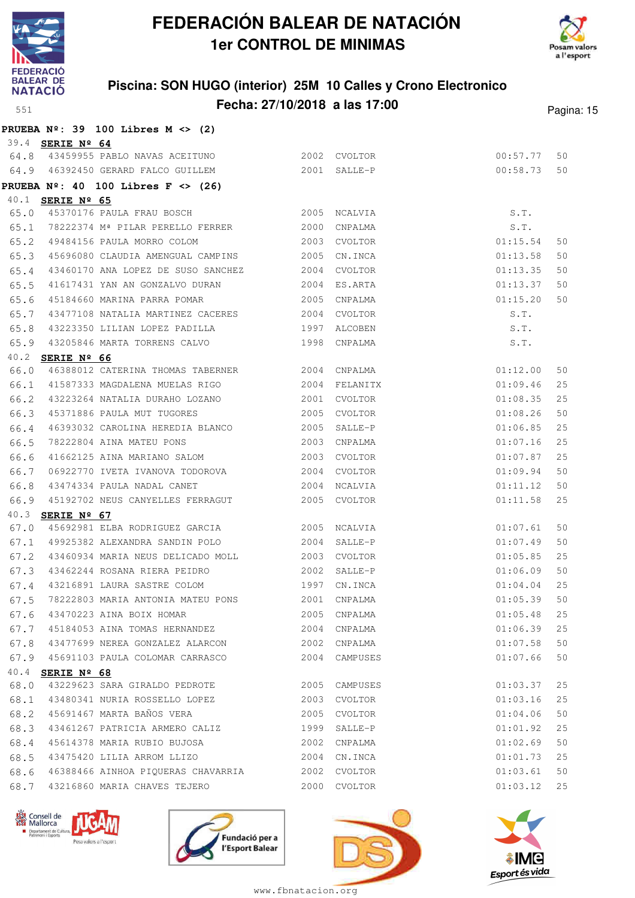



### **Piscina: SON HUGO (interior) 25M 10 Calles y Crono Electronico Fecha: 27/10/2018 a las 17:00** Pagina: 15

|              |                         | PRUEBA $N^2$ : 39 100 Libres M <> (2)                                             |      |                    |                      |          |
|--------------|-------------------------|-----------------------------------------------------------------------------------|------|--------------------|----------------------|----------|
|              | 39.4 <b>SERIE Nº 64</b> |                                                                                   |      |                    |                      |          |
|              |                         | 64.8 43459955 PABLO NAVAS ACEITUNO 2002 CVOLTOR                                   |      |                    | 00:57.77             | 50       |
|              |                         | 64.9 46392450 GERARD FALCO GUILLEM 2001 SALLE-P                                   |      |                    | 00:58.73             | 50       |
|              |                         | PRUEBA $N^2$ : 40 100 Libres F <> (26)                                            |      |                    |                      |          |
|              | 40.1 SERIE Nº 65        | 45370176 PAULA FRAU BOSCH 2005                                                    |      |                    | S.T.                 |          |
| 65.0         |                         | 65.1 78222374 Mª PILAR PERELLO FERRER 2000                                        |      | NCALVIA            |                      |          |
|              |                         |                                                                                   | 2003 | CNPALMA            | S.T.                 |          |
| 65.2<br>65.3 |                         | 49484156 PAULA MORRO COLOM                                                        |      | CVOLTOR<br>CN.INCA | 01:15.54<br>01:13.58 | 50<br>50 |
| 65.4         |                         | 45696080 CLAUDIA AMENGUAL CAMPINS 2005<br>43460170 ANA LOPEZ DE SUSO SANCHEZ 2004 |      | CVOLTOR            | 01:13.35             | 50       |
| 65.5         |                         | 41617431 YAN AN GONZALVO DURAN 2004                                               |      | ES.ARTA            | 01:13.37             | 50       |
| 65.6         |                         |                                                                                   | 2005 | CNPALMA            | 01:15.20             | 50       |
| 65.7         |                         | 45184660 MARINA PARRA POMAR<br>43477108 NATALIA MARTINEZ CACERES 2004             |      | CVOLTOR            | S.T.                 |          |
| 65.8         |                         | 43223350 LILIAN LOPEZ PADILLA 1997                                                |      | ALCOBEN            | S.T.                 |          |
| 65.9         |                         | 43205846 MARTA TORRENS CALVO                                                      |      | 1998 CNPALMA       | S.T.                 |          |
|              | 40.2 SERIE Nº 66        |                                                                                   |      |                    |                      |          |
| 66.0         |                         | 46388012 CATERINA THOMAS TABERNER 2004 CNPALMA                                    |      |                    | 01:12.00             | 50       |
| 66.1         |                         | 41587333 MAGDALENA MUELAS RIGO 2004                                               |      | FELANITX           | 01:09.46             | 25       |
| 66.2         |                         | 43223264 NATALIA DURAHO LOZANO                                                    | 2001 | CVOLTOR            | 01:08.35             | 25       |
| 66.3         |                         | 45371886 PAULA MUT TUGORES                                                        | 2005 | CVOLTOR            | 01:08.26             | 50       |
| 66.4         |                         | 46393032 CAROLINA HEREDIA BLANCO 2005                                             |      | SALLE-P            | 01:06.85             | 25       |
| 66.5         |                         | 78222804 AINA MATEU PONS 2003                                                     |      | CNPALMA            | 01:07.16             | 25       |
| 66.6         |                         | 41662125 AINA MARIANO SALOM                                                       | 2003 | CVOLTOR            | 01:07.87             | 25       |
| 66.7         |                         | 06922770 IVETA IVANOVA TODOROVA 2004                                              |      | CVOLTOR            | 01:09.94             | 50       |
| 66.8         |                         | 43474334 PAULA NADAL CANET 2004 NCALVIA                                           |      |                    | 01:11.12             | 50       |
| 66.9         |                         | 45192702 NEUS CANYELLES FERRAGUT                                                  |      | 2005 CVOLTOR       | 01:11.58             | 25       |
| 40.3         | SERIE Nº 67             |                                                                                   |      |                    |                      |          |
| 67.0         |                         | 45692981 ELBA RODRIGUEZ GARCIA                                                    | 2005 | NCALVIA            | 01:07.61             | 50       |
| 67.1         |                         | 49925382 ALEXANDRA SANDIN POLO                                                    | 2004 | SALLE-P            | 01:07.49             | 50       |
| 67.2         |                         | 43460934 MARIA NEUS DELICADO MOLL 2003 CVOLTOR                                    |      |                    | 01:05.85             | 25       |
| 67.3         |                         |                                                                                   |      | SALLE-P            | 01:06.09             | 50       |
| 67.4         |                         | 43216891 LAURA SASTRE COLOM 1997                                                  |      | CN.INCA            | 01:04.04             | 25       |
| 67.5         |                         | 78222803 MARIA ANTONIA MATEU PONS 2001 CNPALMA                                    |      |                    | 01:05.39 50          |          |
| 67.6         |                         | 43470223 AINA BOIX HOMAR                                                          | 2005 | CNPALMA            | 01:05.48             | 25       |
| 67.7         |                         | 45184053 AINA TOMAS HERNANDEZ                                                     | 2004 | CNPALMA            | 01:06.39             | 25       |
| 67.8         |                         | 43477699 NEREA GONZALEZ ALARCON                                                   | 2002 | CNPALMA            | 01:07.58             | 50       |
| 67.9         |                         | 45691103 PAULA COLOMAR CARRASCO                                                   |      | 2004 CAMPUSES      | 01:07.66             | 50       |
| 40.4         | SERIE Nº 68             |                                                                                   |      |                    |                      |          |
| 68.0         |                         | 43229623 SARA GIRALDO PEDROTE                                                     | 2005 | CAMPUSES           | 01:03.37             | 25       |
| 68.1         |                         | 43480341 NURIA ROSSELLO LOPEZ                                                     | 2003 | CVOLTOR            | 01:03.16             | 25       |
| 68.2         |                         | 45691467 MARTA BAÑOS VERA                                                         | 2005 | CVOLTOR            | 01:04.06             | 50       |
| 68.3         |                         | 43461267 PATRICIA ARMERO CALIZ                                                    | 1999 | SALLE-P            | 01:01.92             | 25       |
| 68.4         |                         | 45614378 MARIA RUBIO BUJOSA                                                       | 2002 | CNPALMA            | 01:02.69             | 50       |
| 68.5         |                         | 43475420 LILIA ARROM LLIZO                                                        | 2004 | CN.INCA            | 01:01.73             | 25       |
| 68.6         |                         | 46388466 AINHOA PIQUERAS CHAVARRIA                                                | 2002 | CVOLTOR            | 01:03.61             | 50       |
| 68.7         |                         | 43216860 MARIA CHAVES TEJERO                                                      |      | 2000 CVOLTOR       | 01:03.12             | 25       |